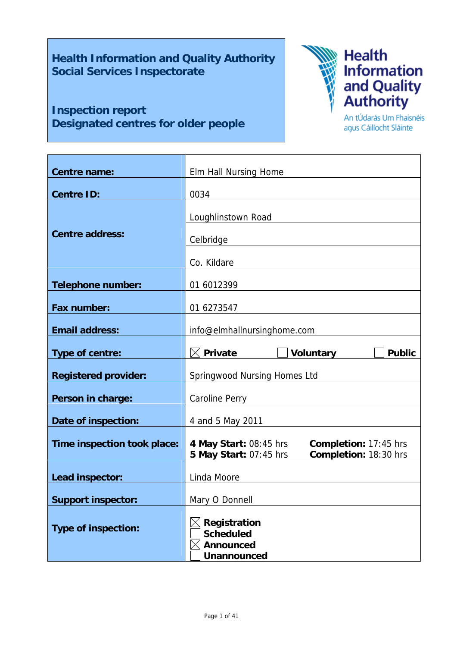# **Health Information and Quality Authority Social Services Inspectorate**

# **Inspection report Designated centres for older people**



An tÚdarás Um Fhaisnéis agus Cáilíocht Sláinte

| Centre name:                | Elm Hall Nursing Home                                                                              |  |  |
|-----------------------------|----------------------------------------------------------------------------------------------------|--|--|
| <b>Centre ID:</b>           | 0034                                                                                               |  |  |
|                             | Loughlinstown Road                                                                                 |  |  |
| <b>Centre address:</b>      | Celbridge                                                                                          |  |  |
|                             | Co. Kildare                                                                                        |  |  |
| <b>Telephone number:</b>    | 01 6012399                                                                                         |  |  |
| Fax number:                 | 01 6273547                                                                                         |  |  |
| <b>Email address:</b>       | info@elmhallnursinghome.com                                                                        |  |  |
| Type of centre:             | $\boxtimes$ Private<br><b>Voluntary</b><br><b>Public</b>                                           |  |  |
| <b>Registered provider:</b> | Springwood Nursing Homes Ltd                                                                       |  |  |
| Person in charge:           | <b>Caroline Perry</b>                                                                              |  |  |
| Date of inspection:         | 4 and 5 May 2011                                                                                   |  |  |
| Time inspection took place: | 4 May Start: 08:45 hrs<br>Completion: 17:45 hrs<br>Completion: 18:30 hrs<br>5 May Start: 07:45 hrs |  |  |
| Lead inspector:             | Linda Moore                                                                                        |  |  |
| <b>Support inspector:</b>   | Mary O Donnell                                                                                     |  |  |
| <b>Type of inspection:</b>  | Registration<br><b>Scheduled</b><br><b>Announced</b><br><b>Unannounced</b>                         |  |  |
|                             |                                                                                                    |  |  |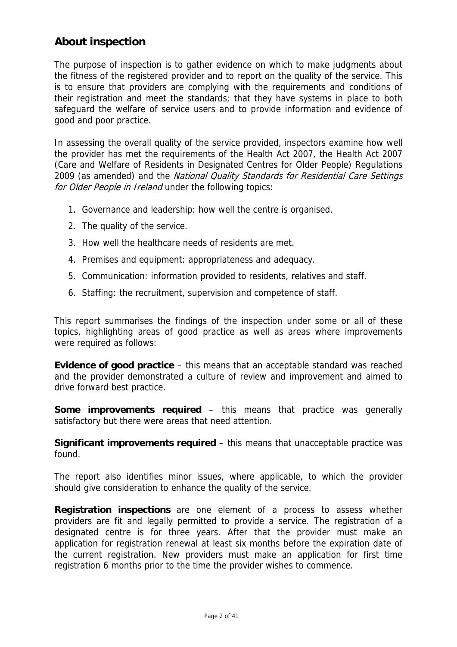# **About inspection**

The purpose of inspection is to gather evidence on which to make judgments about the fitness of the registered provider and to report on the quality of the service. This is to ensure that providers are complying with the requirements and conditions of their registration and meet the standards; that they have systems in place to both safeguard the welfare of service users and to provide information and evidence of good and poor practice.

In assessing the overall quality of the service provided, inspectors examine how well the provider has met the requirements of the Health Act 2007, the Health Act 2007 (Care and Welfare of Residents in Designated Centres for Older People) Regulations 2009 (as amended) and the National Quality Standards for Residential Care Settings for Older People in Ireland under the following topics:

- 1. Governance and leadership: how well the centre is organised.
- 2. The quality of the service.
- 3. How well the healthcare needs of residents are met.
- 4. Premises and equipment: appropriateness and adequacy.
- 5. Communication: information provided to residents, relatives and staff.
- 6. Staffing: the recruitment, supervision and competence of staff.

This report summarises the findings of the inspection under some or all of these topics, highlighting areas of good practice as well as areas where improvements were required as follows:

**Evidence of good practice** – this means that an acceptable standard was reached and the provider demonstrated a culture of review and improvement and aimed to drive forward best practice.

**Some improvements required** – this means that practice was generally satisfactory but there were areas that need attention.

**Significant improvements required** – this means that unacceptable practice was found.

The report also identifies minor issues, where applicable, to which the provider should give consideration to enhance the quality of the service.

**Registration inspections** are one element of a process to assess whether providers are fit and legally permitted to provide a service. The registration of a designated centre is for three years. After that the provider must make an application for registration renewal at least six months before the expiration date of the current registration. New providers must make an application for first time registration 6 months prior to the time the provider wishes to commence.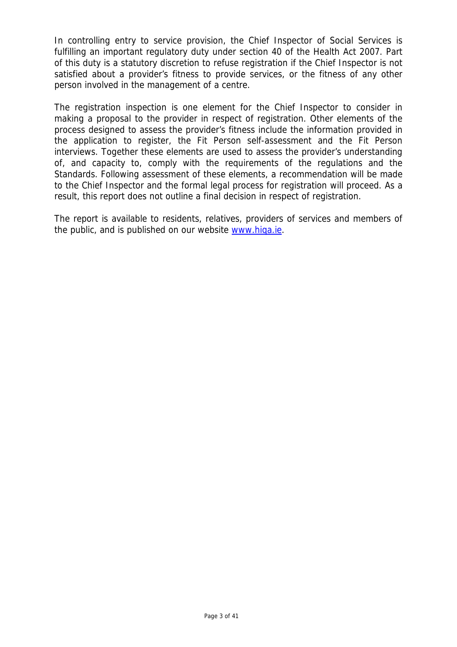In controlling entry to service provision, the Chief Inspector of Social Services is fulfilling an important regulatory duty under section 40 of the Health Act 2007. Part of this duty is a statutory discretion to refuse registration if the Chief Inspector is not satisfied about a provider's fitness to provide services, or the fitness of any other person involved in the management of a centre.

The registration inspection is one element for the Chief Inspector to consider in making a proposal to the provider in respect of registration. Other elements of the process designed to assess the provider's fitness include the information provided in the application to register, the Fit Person self-assessment and the Fit Person interviews. Together these elements are used to assess the provider's understanding of, and capacity to, comply with the requirements of the regulations and the Standards. Following assessment of these elements, a recommendation will be made to the Chief Inspector and the formal legal process for registration will proceed. As a result, this report does not outline a final decision in respect of registration.

The report is available to residents, relatives, providers of services and members of the public, and is published on our website www.hiqa.ie.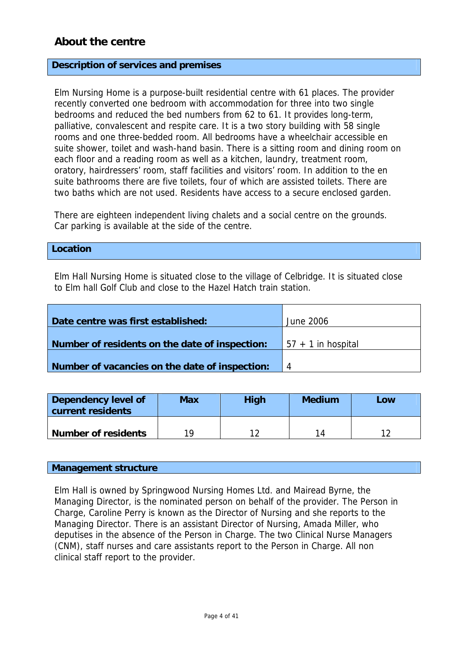# **About the centre**

### **Description of services and premises**

Elm Nursing Home is a purpose-built residential centre with 61 places. The provider recently converted one bedroom with accommodation for three into two single bedrooms and reduced the bed numbers from 62 to 61. It provides long-term, palliative, convalescent and respite care. It is a two story building with 58 single rooms and one three-bedded room. All bedrooms have a wheelchair accessible en suite shower, toilet and wash-hand basin. There is a sitting room and dining room on each floor and a reading room as well as a kitchen, laundry, treatment room, oratory, hairdressers' room, staff facilities and visitors' room. In addition to the en suite bathrooms there are five toilets, four of which are assisted toilets. There are two baths which are not used. Residents have access to a secure enclosed garden.

There are eighteen independent living chalets and a social centre on the grounds. Car parking is available at the side of the centre.

### **Location**

Elm Hall Nursing Home is situated close to the village of Celbridge. It is situated close to Elm hall Golf Club and close to the Hazel Hatch train station.

| Date centre was first established:             | June 2006             |
|------------------------------------------------|-----------------------|
|                                                |                       |
|                                                |                       |
|                                                |                       |
| Number of residents on the date of inspection: | $157 + 1$ in hospital |
|                                                |                       |
|                                                |                       |
| Number of vacancies on the date of inspection: | 4                     |

| Dependency level of<br>current residents | Max | <b>High</b> | <b>Medium</b> | Low |  |
|------------------------------------------|-----|-------------|---------------|-----|--|
| <b>Number of residents</b>               | 10  |             | 14            |     |  |

### **Management structure**

Elm Hall is owned by Springwood Nursing Homes Ltd. and Mairead Byrne, the Managing Director, is the nominated person on behalf of the provider. The Person in Charge, Caroline Perry is known as the Director of Nursing and she reports to the Managing Director. There is an assistant Director of Nursing, Amada Miller, who deputises in the absence of the Person in Charge. The two Clinical Nurse Managers (CNM), staff nurses and care assistants report to the Person in Charge. All non clinical staff report to the provider.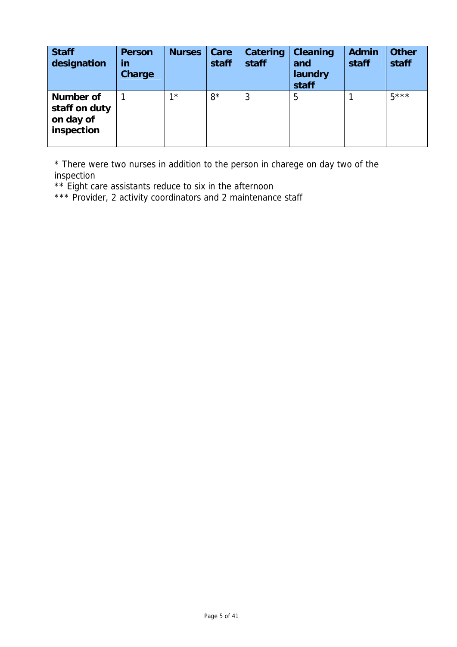| <b>Staff</b><br>designation                                  | <b>Person</b><br>in<br>Charge | <b>Nurses</b> | Care<br>staff | Catering<br>staff | <b>Cleaning</b><br>and<br>laundry<br>staff | <b>Admin</b><br>staff | <b>Other</b><br>staff |
|--------------------------------------------------------------|-------------------------------|---------------|---------------|-------------------|--------------------------------------------|-----------------------|-----------------------|
| <b>Number of</b><br>staff on duty<br>on day of<br>inspection |                               | $1*$          | $8*$          | 3                 | 5                                          |                       | $5***$                |

\* There were two nurses in addition to the person in charege on day two of the inspection

\*\* Eight care assistants reduce to six in the afternoon

\*\*\* Provider, 2 activity coordinators and 2 maintenance staff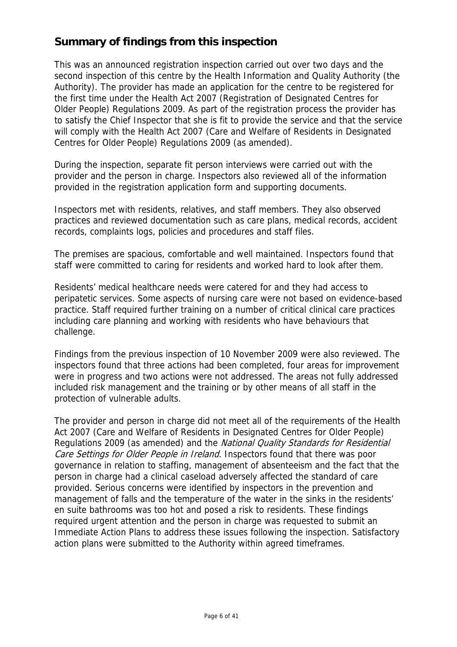# **Summary of findings from this inspection**

This was an announced registration inspection carried out over two days and the second inspection of this centre by the Health Information and Quality Authority (the Authority). The provider has made an application for the centre to be registered for the first time under the Health Act 2007 (Registration of Designated Centres for Older People) Regulations 2009. As part of the registration process the provider has to satisfy the Chief Inspector that she is fit to provide the service and that the service will comply with the Health Act 2007 (Care and Welfare of Residents in Designated Centres for Older People) Regulations 2009 (as amended).

During the inspection, separate fit person interviews were carried out with the provider and the person in charge. Inspectors also reviewed all of the information provided in the registration application form and supporting documents.

Inspectors met with residents, relatives, and staff members. They also observed practices and reviewed documentation such as care plans, medical records, accident records, complaints logs, policies and procedures and staff files.

The premises are spacious, comfortable and well maintained. Inspectors found that staff were committed to caring for residents and worked hard to look after them.

Residents' medical healthcare needs were catered for and they had access to peripatetic services. Some aspects of nursing care were not based on evidence-based practice. Staff required further training on a number of critical clinical care practices including care planning and working with residents who have behaviours that challenge.

Findings from the previous inspection of 10 November 2009 were also reviewed. The inspectors found that three actions had been completed, four areas for improvement were in progress and two actions were not addressed. The areas not fully addressed included risk management and the training or by other means of all staff in the protection of vulnerable adults.

The provider and person in charge did not meet all of the requirements of the Health Act 2007 (Care and Welfare of Residents in Designated Centres for Older People) Regulations 2009 (as amended) and the National Quality Standards for Residential Care Settings for Older People in Ireland. Inspectors found that there was poor governance in relation to staffing, management of absenteeism and the fact that the person in charge had a clinical caseload adversely affected the standard of care provided. Serious concerns were identified by inspectors in the prevention and management of falls and the temperature of the water in the sinks in the residents' en suite bathrooms was too hot and posed a risk to residents. These findings required urgent attention and the person in charge was requested to submit an Immediate Action Plans to address these issues following the inspection. Satisfactory action plans were submitted to the Authority within agreed timeframes.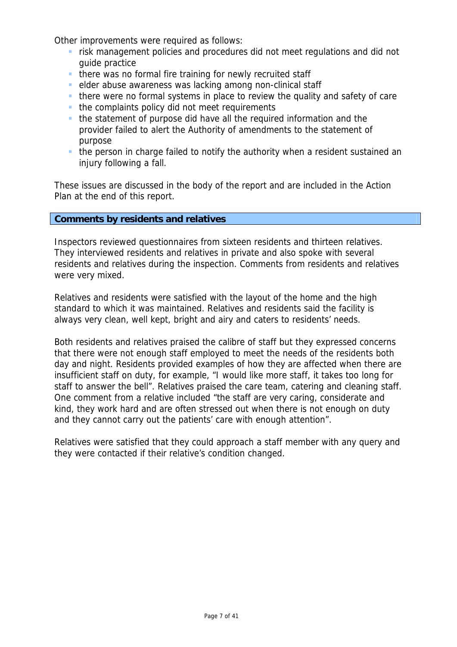Other improvements were required as follows:

- **F** risk management policies and procedures did not meet regulations and did not guide practice
- **there was no formal fire training for newly recruited staff**
- elder abuse awareness was lacking among non-clinical staff
- there were no formal systems in place to review the quality and safety of care
- $\blacksquare$  the complaints policy did not meet requirements
- the statement of purpose did have all the required information and the provider failed to alert the Authority of amendments to the statement of purpose
- the person in charge failed to notify the authority when a resident sustained an injury following a fall.

These issues are discussed in the body of the report and are included in the Action Plan at the end of this report.

### **Comments by residents and relatives**

Inspectors reviewed questionnaires from sixteen residents and thirteen relatives. They interviewed residents and relatives in private and also spoke with several residents and relatives during the inspection. Comments from residents and relatives were very mixed.

Relatives and residents were satisfied with the layout of the home and the high standard to which it was maintained. Relatives and residents said the facility is always very clean, well kept, bright and airy and caters to residents' needs.

Both residents and relatives praised the calibre of staff but they expressed concerns that there were not enough staff employed to meet the needs of the residents both day and night. Residents provided examples of how they are affected when there are insufficient staff on duty, for example, "I would like more staff, it takes too long for staff to answer the bell". Relatives praised the care team, catering and cleaning staff. One comment from a relative included "the staff are very caring, considerate and kind, they work hard and are often stressed out when there is not enough on duty and they cannot carry out the patients' care with enough attention".

Relatives were satisfied that they could approach a staff member with any query and they were contacted if their relative's condition changed.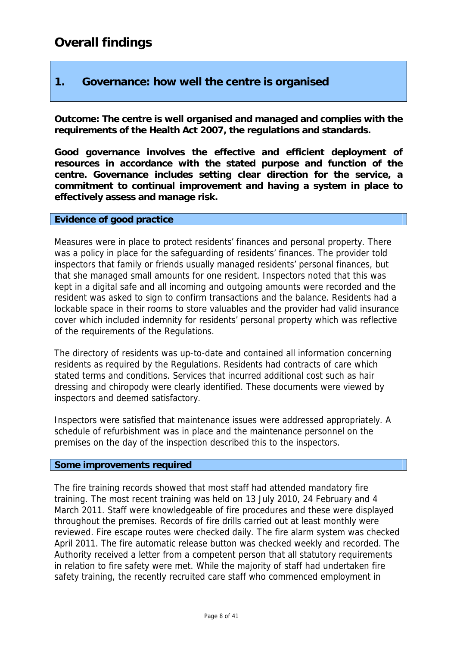# **1. Governance: how well the centre is organised**

**Outcome: The centre is well organised and managed and complies with the requirements of the Health Act 2007, the regulations and standards.** 

**Good governance involves the effective and efficient deployment of resources in accordance with the stated purpose and function of the centre. Governance includes setting clear direction for the service, a commitment to continual improvement and having a system in place to effectively assess and manage risk.** 

### **Evidence of good practice**

Measures were in place to protect residents' finances and personal property. There was a policy in place for the safeguarding of residents' finances. The provider told inspectors that family or friends usually managed residents' personal finances, but that she managed small amounts for one resident. Inspectors noted that this was kept in a digital safe and all incoming and outgoing amounts were recorded and the resident was asked to sign to confirm transactions and the balance. Residents had a lockable space in their rooms to store valuables and the provider had valid insurance cover which included indemnity for residents' personal property which was reflective of the requirements of the Regulations.

The directory of residents was up-to-date and contained all information concerning residents as required by the Regulations. Residents had contracts of care which stated terms and conditions. Services that incurred additional cost such as hair dressing and chiropody were clearly identified. These documents were viewed by inspectors and deemed satisfactory.

Inspectors were satisfied that maintenance issues were addressed appropriately. A schedule of refurbishment was in place and the maintenance personnel on the premises on the day of the inspection described this to the inspectors.

### **Some improvements required**

The fire training records showed that most staff had attended mandatory fire training. The most recent training was held on 13 July 2010, 24 February and 4 March 2011. Staff were knowledgeable of fire procedures and these were displayed throughout the premises. Records of fire drills carried out at least monthly were reviewed. Fire escape routes were checked daily. The fire alarm system was checked April 2011. The fire automatic release button was checked weekly and recorded. The Authority received a letter from a competent person that all statutory requirements in relation to fire safety were met. While the majority of staff had undertaken fire safety training, the recently recruited care staff who commenced employment in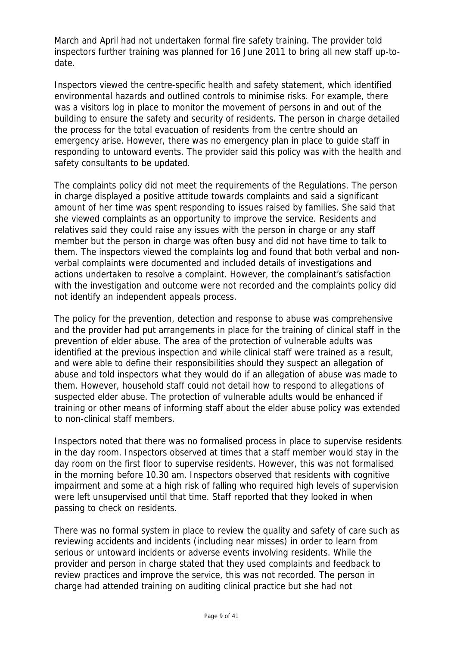March and April had not undertaken formal fire safety training. The provider told inspectors further training was planned for 16 June 2011 to bring all new staff up-todate.

Inspectors viewed the centre-specific health and safety statement, which identified environmental hazards and outlined controls to minimise risks. For example, there was a visitors log in place to monitor the movement of persons in and out of the building to ensure the safety and security of residents. The person in charge detailed the process for the total evacuation of residents from the centre should an emergency arise. However, there was no emergency plan in place to guide staff in responding to untoward events. The provider said this policy was with the health and safety consultants to be updated.

The complaints policy did not meet the requirements of the Regulations. The person in charge displayed a positive attitude towards complaints and said a significant amount of her time was spent responding to issues raised by families. She said that she viewed complaints as an opportunity to improve the service. Residents and relatives said they could raise any issues with the person in charge or any staff member but the person in charge was often busy and did not have time to talk to them. The inspectors viewed the complaints log and found that both verbal and nonverbal complaints were documented and included details of investigations and actions undertaken to resolve a complaint. However, the complainant's satisfaction with the investigation and outcome were not recorded and the complaints policy did not identify an independent appeals process.

The policy for the prevention, detection and response to abuse was comprehensive and the provider had put arrangements in place for the training of clinical staff in the prevention of elder abuse. The area of the protection of vulnerable adults was identified at the previous inspection and while clinical staff were trained as a result, and were able to define their responsibilities should they suspect an allegation of abuse and told inspectors what they would do if an allegation of abuse was made to them. However, household staff could not detail how to respond to allegations of suspected elder abuse. The protection of vulnerable adults would be enhanced if training or other means of informing staff about the elder abuse policy was extended to non-clinical staff members.

Inspectors noted that there was no formalised process in place to supervise residents in the day room. Inspectors observed at times that a staff member would stay in the day room on the first floor to supervise residents. However, this was not formalised in the morning before 10.30 am. Inspectors observed that residents with cognitive impairment and some at a high risk of falling who required high levels of supervision were left unsupervised until that time. Staff reported that they looked in when passing to check on residents.

There was no formal system in place to review the quality and safety of care such as reviewing accidents and incidents (including near misses) in order to learn from serious or untoward incidents or adverse events involving residents. While the provider and person in charge stated that they used complaints and feedback to review practices and improve the service, this was not recorded. The person in charge had attended training on auditing clinical practice but she had not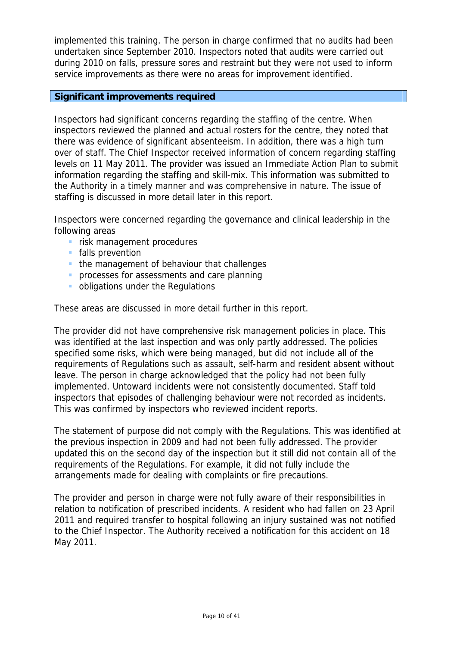implemented this training. The person in charge confirmed that no audits had been undertaken since September 2010. Inspectors noted that audits were carried out during 2010 on falls, pressure sores and restraint but they were not used to inform service improvements as there were no areas for improvement identified.

### **Significant improvements required**

Inspectors had significant concerns regarding the staffing of the centre. When inspectors reviewed the planned and actual rosters for the centre, they noted that there was evidence of significant absenteeism. In addition, there was a high turn over of staff. The Chief Inspector received information of concern regarding staffing levels on 11 May 2011. The provider was issued an Immediate Action Plan to submit information regarding the staffing and skill-mix. This information was submitted to the Authority in a timely manner and was comprehensive in nature. The issue of staffing is discussed in more detail later in this report.

Inspectors were concerned regarding the governance and clinical leadership in the following areas

- **F** risk management procedures
- **falls prevention**
- the management of behaviour that challenges
- **processes for assessments and care planning**
- **obligations under the Regulations**

These areas are discussed in more detail further in this report.

The provider did not have comprehensive risk management policies in place. This was identified at the last inspection and was only partly addressed. The policies specified some risks, which were being managed, but did not include all of the requirements of Regulations such as assault, self-harm and resident absent without leave. The person in charge acknowledged that the policy had not been fully implemented. Untoward incidents were not consistently documented. Staff told inspectors that episodes of challenging behaviour were not recorded as incidents. This was confirmed by inspectors who reviewed incident reports.

The statement of purpose did not comply with the Regulations. This was identified at the previous inspection in 2009 and had not been fully addressed. The provider updated this on the second day of the inspection but it still did not contain all of the requirements of the Regulations. For example, it did not fully include the arrangements made for dealing with complaints or fire precautions.

The provider and person in charge were not fully aware of their responsibilities in relation to notification of prescribed incidents. A resident who had fallen on 23 April 2011 and required transfer to hospital following an injury sustained was not notified to the Chief Inspector. The Authority received a notification for this accident on 18 May 2011.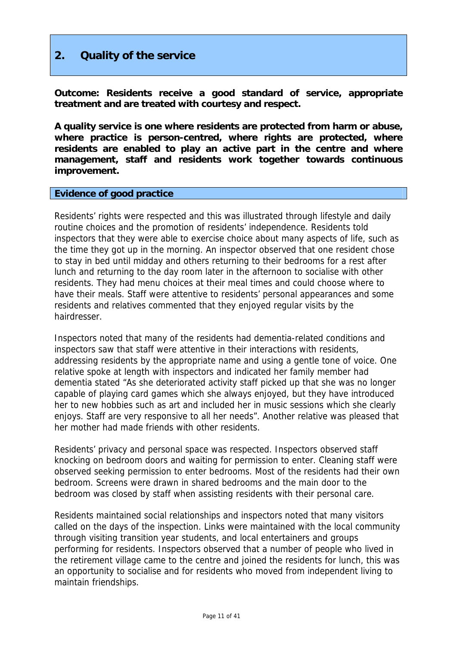# **2. Quality of the service**

**Outcome: Residents receive a good standard of service, appropriate treatment and are treated with courtesy and respect.** 

**A quality service is one where residents are protected from harm or abuse, where practice is person-centred, where rights are protected, where residents are enabled to play an active part in the centre and where management, staff and residents work together towards continuous improvement.** 

### **Evidence of good practice**

Residents' rights were respected and this was illustrated through lifestyle and daily routine choices and the promotion of residents' independence. Residents told inspectors that they were able to exercise choice about many aspects of life, such as the time they got up in the morning. An inspector observed that one resident chose to stay in bed until midday and others returning to their bedrooms for a rest after lunch and returning to the day room later in the afternoon to socialise with other residents. They had menu choices at their meal times and could choose where to have their meals. Staff were attentive to residents' personal appearances and some residents and relatives commented that they enjoyed regular visits by the hairdresser.

Inspectors noted that many of the residents had dementia-related conditions and inspectors saw that staff were attentive in their interactions with residents, addressing residents by the appropriate name and using a gentle tone of voice. One relative spoke at length with inspectors and indicated her family member had dementia stated "As she deteriorated activity staff picked up that she was no longer capable of playing card games which she always enjoyed, but they have introduced her to new hobbies such as art and included her in music sessions which she clearly enjoys. Staff are very responsive to all her needs". Another relative was pleased that her mother had made friends with other residents.

Residents' privacy and personal space was respected. Inspectors observed staff knocking on bedroom doors and waiting for permission to enter. Cleaning staff were observed seeking permission to enter bedrooms. Most of the residents had their own bedroom. Screens were drawn in shared bedrooms and the main door to the bedroom was closed by staff when assisting residents with their personal care.

Residents maintained social relationships and inspectors noted that many visitors called on the days of the inspection. Links were maintained with the local community through visiting transition year students, and local entertainers and groups performing for residents. Inspectors observed that a number of people who lived in the retirement village came to the centre and joined the residents for lunch, this was an opportunity to socialise and for residents who moved from independent living to maintain friendships.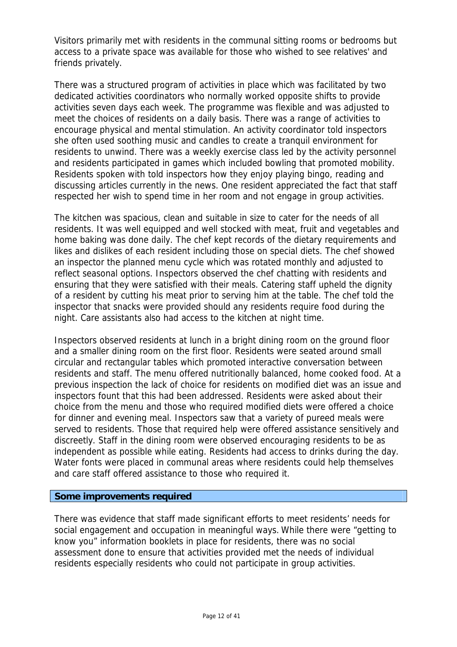Visitors primarily met with residents in the communal sitting rooms or bedrooms but access to a private space was available for those who wished to see relatives' and friends privately.

There was a structured program of activities in place which was facilitated by two dedicated activities coordinators who normally worked opposite shifts to provide activities seven days each week. The programme was flexible and was adjusted to meet the choices of residents on a daily basis. There was a range of activities to encourage physical and mental stimulation. An activity coordinator told inspectors she often used soothing music and candles to create a tranquil environment for residents to unwind. There was a weekly exercise class led by the activity personnel and residents participated in games which included bowling that promoted mobility. Residents spoken with told inspectors how they enjoy playing bingo, reading and discussing articles currently in the news. One resident appreciated the fact that staff respected her wish to spend time in her room and not engage in group activities.

The kitchen was spacious, clean and suitable in size to cater for the needs of all residents. It was well equipped and well stocked with meat, fruit and vegetables and home baking was done daily. The chef kept records of the dietary requirements and likes and dislikes of each resident including those on special diets. The chef showed an inspector the planned menu cycle which was rotated monthly and adjusted to reflect seasonal options. Inspectors observed the chef chatting with residents and ensuring that they were satisfied with their meals. Catering staff upheld the dignity of a resident by cutting his meat prior to serving him at the table. The chef told the inspector that snacks were provided should any residents require food during the night. Care assistants also had access to the kitchen at night time.

Inspectors observed residents at lunch in a bright dining room on the ground floor and a smaller dining room on the first floor. Residents were seated around small circular and rectangular tables which promoted interactive conversation between residents and staff. The menu offered nutritionally balanced, home cooked food. At a previous inspection the lack of choice for residents on modified diet was an issue and inspectors fount that this had been addressed. Residents were asked about their choice from the menu and those who required modified diets were offered a choice for dinner and evening meal. Inspectors saw that a variety of pureed meals were served to residents. Those that required help were offered assistance sensitively and discreetly. Staff in the dining room were observed encouraging residents to be as independent as possible while eating. Residents had access to drinks during the day. Water fonts were placed in communal areas where residents could help themselves and care staff offered assistance to those who required it.

### **Some improvements required**

There was evidence that staff made significant efforts to meet residents' needs for social engagement and occupation in meaningful ways. While there were "getting to know you" information booklets in place for residents, there was no social assessment done to ensure that activities provided met the needs of individual residents especially residents who could not participate in group activities.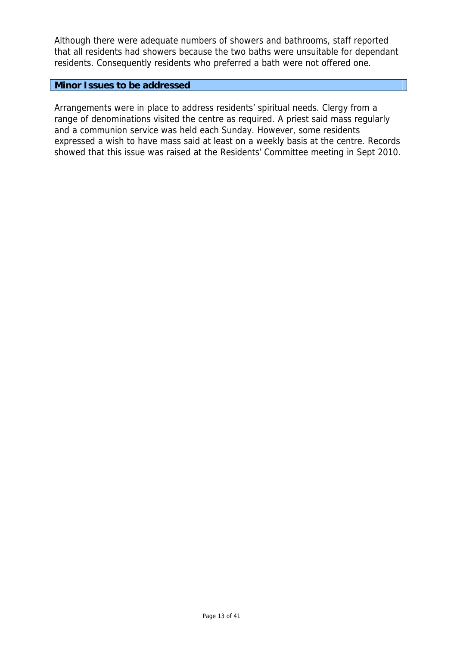Although there were adequate numbers of showers and bathrooms, staff reported that all residents had showers because the two baths were unsuitable for dependant residents. Consequently residents who preferred a bath were not offered one.

### **Minor Issues to be addressed**

Arrangements were in place to address residents' spiritual needs. Clergy from a range of denominations visited the centre as required. A priest said mass regularly and a communion service was held each Sunday. However, some residents expressed a wish to have mass said at least on a weekly basis at the centre. Records showed that this issue was raised at the Residents' Committee meeting in Sept 2010.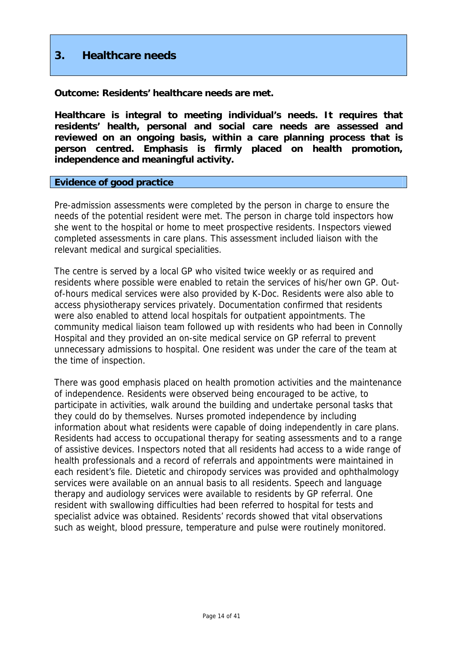# **3. Healthcare needs**

**Outcome: Residents' healthcare needs are met.** 

**Healthcare is integral to meeting individual's needs. It requires that residents' health, personal and social care needs are assessed and reviewed on an ongoing basis, within a care planning process that is person centred. Emphasis is firmly placed on health promotion, independence and meaningful activity.** 

### **Evidence of good practice**

Pre-admission assessments were completed by the person in charge to ensure the needs of the potential resident were met. The person in charge told inspectors how she went to the hospital or home to meet prospective residents. Inspectors viewed completed assessments in care plans. This assessment included liaison with the relevant medical and surgical specialities.

The centre is served by a local GP who visited twice weekly or as required and residents where possible were enabled to retain the services of his/her own GP. Outof-hours medical services were also provided by K-Doc. Residents were also able to access physiotherapy services privately. Documentation confirmed that residents were also enabled to attend local hospitals for outpatient appointments. The community medical liaison team followed up with residents who had been in Connolly Hospital and they provided an on-site medical service on GP referral to prevent unnecessary admissions to hospital. One resident was under the care of the team at the time of inspection.

There was good emphasis placed on health promotion activities and the maintenance of independence. Residents were observed being encouraged to be active, to participate in activities, walk around the building and undertake personal tasks that they could do by themselves. Nurses promoted independence by including information about what residents were capable of doing independently in care plans. Residents had access to occupational therapy for seating assessments and to a range of assistive devices. Inspectors noted that all residents had access to a wide range of health professionals and a record of referrals and appointments were maintained in each resident's file. Dietetic and chiropody services was provided and ophthalmology services were available on an annual basis to all residents. Speech and language therapy and audiology services were available to residents by GP referral. One resident with swallowing difficulties had been referred to hospital for tests and specialist advice was obtained. Residents' records showed that vital observations such as weight, blood pressure, temperature and pulse were routinely monitored.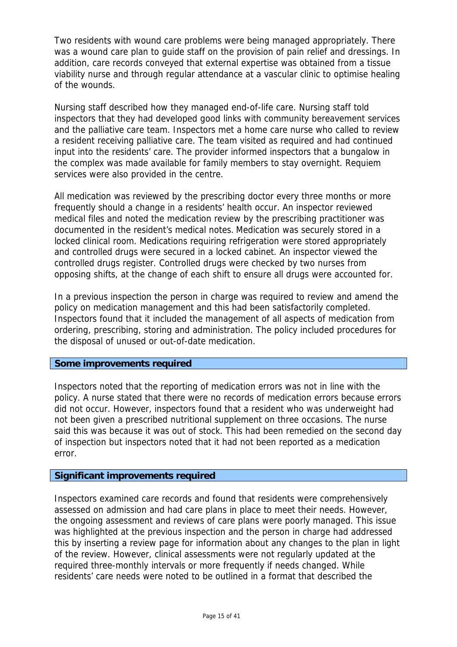Two residents with wound care problems were being managed appropriately. There was a wound care plan to guide staff on the provision of pain relief and dressings. In addition, care records conveyed that external expertise was obtained from a tissue viability nurse and through regular attendance at a vascular clinic to optimise healing of the wounds.

Nursing staff described how they managed end-of-life care. Nursing staff told inspectors that they had developed good links with community bereavement services and the palliative care team. Inspectors met a home care nurse who called to review a resident receiving palliative care. The team visited as required and had continued input into the residents' care. The provider informed inspectors that a bungalow in the complex was made available for family members to stay overnight. Requiem services were also provided in the centre.

All medication was reviewed by the prescribing doctor every three months or more frequently should a change in a residents' health occur. An inspector reviewed medical files and noted the medication review by the prescribing practitioner was documented in the resident's medical notes. Medication was securely stored in a locked clinical room. Medications requiring refrigeration were stored appropriately and controlled drugs were secured in a locked cabinet. An inspector viewed the controlled drugs register. Controlled drugs were checked by two nurses from opposing shifts, at the change of each shift to ensure all drugs were accounted for.

In a previous inspection the person in charge was required to review and amend the policy on medication management and this had been satisfactorily completed. Inspectors found that it included the management of all aspects of medication from ordering, prescribing, storing and administration. The policy included procedures for the disposal of unused or out-of-date medication.

### **Some improvements required**

Inspectors noted that the reporting of medication errors was not in line with the policy. A nurse stated that there were no records of medication errors because errors did not occur. However, inspectors found that a resident who was underweight had not been given a prescribed nutritional supplement on three occasions. The nurse said this was because it was out of stock. This had been remedied on the second day of inspection but inspectors noted that it had not been reported as a medication error.

### **Significant improvements required**

Inspectors examined care records and found that residents were comprehensively assessed on admission and had care plans in place to meet their needs. However, the ongoing assessment and reviews of care plans were poorly managed. This issue was highlighted at the previous inspection and the person in charge had addressed this by inserting a review page for information about any changes to the plan in light of the review. However, clinical assessments were not regularly updated at the required three-monthly intervals or more frequently if needs changed. While residents' care needs were noted to be outlined in a format that described the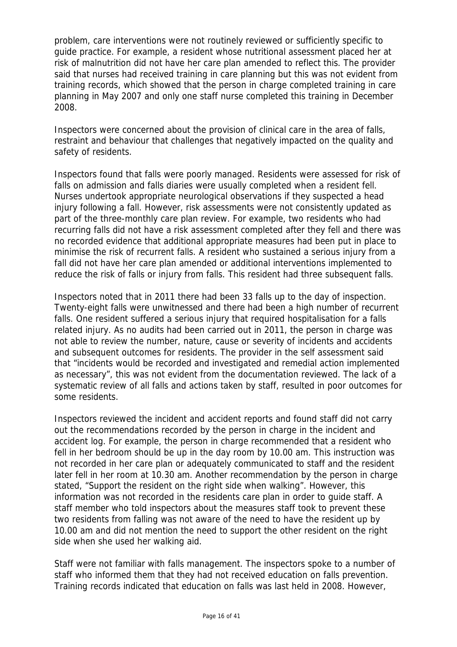problem, care interventions were not routinely reviewed or sufficiently specific to guide practice. For example, a resident whose nutritional assessment placed her at risk of malnutrition did not have her care plan amended to reflect this. The provider said that nurses had received training in care planning but this was not evident from training records, which showed that the person in charge completed training in care planning in May 2007 and only one staff nurse completed this training in December 2008.

Inspectors were concerned about the provision of clinical care in the area of falls, restraint and behaviour that challenges that negatively impacted on the quality and safety of residents.

Inspectors found that falls were poorly managed. Residents were assessed for risk of falls on admission and falls diaries were usually completed when a resident fell. Nurses undertook appropriate neurological observations if they suspected a head injury following a fall. However, risk assessments were not consistently updated as part of the three-monthly care plan review. For example, two residents who had recurring falls did not have a risk assessment completed after they fell and there was no recorded evidence that additional appropriate measures had been put in place to minimise the risk of recurrent falls. A resident who sustained a serious injury from a fall did not have her care plan amended or additional interventions implemented to reduce the risk of falls or injury from falls. This resident had three subsequent falls.

Inspectors noted that in 2011 there had been 33 falls up to the day of inspection. Twenty-eight falls were unwitnessed and there had been a high number of recurrent falls. One resident suffered a serious injury that required hospitalisation for a falls related injury. As no audits had been carried out in 2011, the person in charge was not able to review the number, nature, cause or severity of incidents and accidents and subsequent outcomes for residents. The provider in the self assessment said that "incidents would be recorded and investigated and remedial action implemented as necessary", this was not evident from the documentation reviewed. The lack of a systematic review of all falls and actions taken by staff, resulted in poor outcomes for some residents.

Inspectors reviewed the incident and accident reports and found staff did not carry out the recommendations recorded by the person in charge in the incident and accident log. For example, the person in charge recommended that a resident who fell in her bedroom should be up in the day room by 10.00 am. This instruction was not recorded in her care plan or adequately communicated to staff and the resident later fell in her room at 10.30 am. Another recommendation by the person in charge stated, "Support the resident on the right side when walking". However, this information was not recorded in the residents care plan in order to guide staff. A staff member who told inspectors about the measures staff took to prevent these two residents from falling was not aware of the need to have the resident up by 10.00 am and did not mention the need to support the other resident on the right side when she used her walking aid.

Staff were not familiar with falls management. The inspectors spoke to a number of staff who informed them that they had not received education on falls prevention. Training records indicated that education on falls was last held in 2008. However,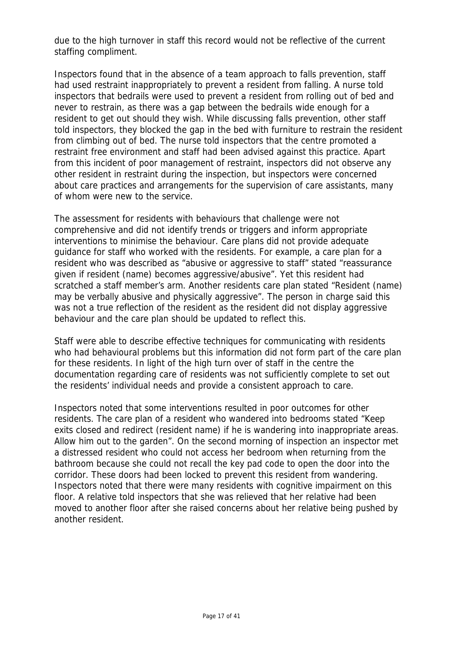due to the high turnover in staff this record would not be reflective of the current staffing compliment.

Inspectors found that in the absence of a team approach to falls prevention, staff had used restraint inappropriately to prevent a resident from falling. A nurse told inspectors that bedrails were used to prevent a resident from rolling out of bed and never to restrain, as there was a gap between the bedrails wide enough for a resident to get out should they wish. While discussing falls prevention, other staff told inspectors, they blocked the gap in the bed with furniture to restrain the resident from climbing out of bed. The nurse told inspectors that the centre promoted a restraint free environment and staff had been advised against this practice. Apart from this incident of poor management of restraint, inspectors did not observe any other resident in restraint during the inspection, but inspectors were concerned about care practices and arrangements for the supervision of care assistants, many of whom were new to the service.

The assessment for residents with behaviours that challenge were not comprehensive and did not identify trends or triggers and inform appropriate interventions to minimise the behaviour. Care plans did not provide adequate guidance for staff who worked with the residents. For example, a care plan for a resident who was described as "abusive or aggressive to staff" stated "reassurance given if resident (name) becomes aggressive/abusive". Yet this resident had scratched a staff member's arm. Another residents care plan stated "Resident (name) may be verbally abusive and physically aggressive". The person in charge said this was not a true reflection of the resident as the resident did not display aggressive behaviour and the care plan should be updated to reflect this.

Staff were able to describe effective techniques for communicating with residents who had behavioural problems but this information did not form part of the care plan for these residents. In light of the high turn over of staff in the centre the documentation regarding care of residents was not sufficiently complete to set out the residents' individual needs and provide a consistent approach to care.

Inspectors noted that some interventions resulted in poor outcomes for other residents. The care plan of a resident who wandered into bedrooms stated "Keep exits closed and redirect (resident name) if he is wandering into inappropriate areas. Allow him out to the garden". On the second morning of inspection an inspector met a distressed resident who could not access her bedroom when returning from the bathroom because she could not recall the key pad code to open the door into the corridor. These doors had been locked to prevent this resident from wandering. Inspectors noted that there were many residents with cognitive impairment on this floor. A relative told inspectors that she was relieved that her relative had been moved to another floor after she raised concerns about her relative being pushed by another resident.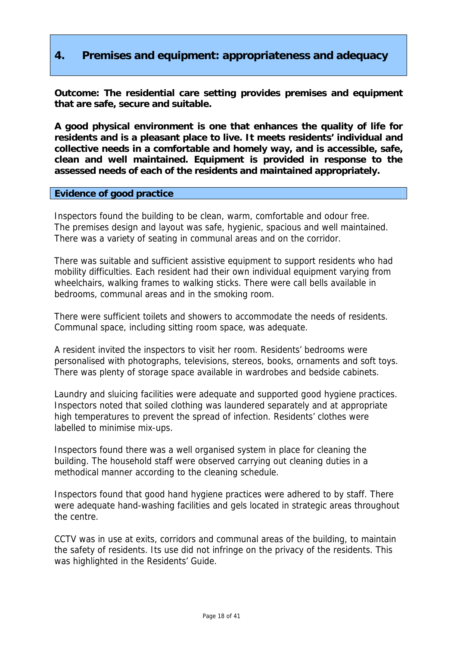# **4. Premises and equipment: appropriateness and adequacy**

**Outcome: The residential care setting provides premises and equipment that are safe, secure and suitable.** 

**A good physical environment is one that enhances the quality of life for residents and is a pleasant place to live. It meets residents' individual and collective needs in a comfortable and homely way, and is accessible, safe, clean and well maintained. Equipment is provided in response to the assessed needs of each of the residents and maintained appropriately.** 

### **Evidence of good practice**

Inspectors found the building to be clean, warm, comfortable and odour free. The premises design and layout was safe, hygienic, spacious and well maintained. There was a variety of seating in communal areas and on the corridor.

There was suitable and sufficient assistive equipment to support residents who had mobility difficulties. Each resident had their own individual equipment varying from wheelchairs, walking frames to walking sticks. There were call bells available in bedrooms, communal areas and in the smoking room.

There were sufficient toilets and showers to accommodate the needs of residents. Communal space, including sitting room space, was adequate.

A resident invited the inspectors to visit her room. Residents' bedrooms were personalised with photographs, televisions, stereos, books, ornaments and soft toys. There was plenty of storage space available in wardrobes and bedside cabinets.

Laundry and sluicing facilities were adequate and supported good hygiene practices. Inspectors noted that soiled clothing was laundered separately and at appropriate high temperatures to prevent the spread of infection. Residents' clothes were labelled to minimise mix-ups.

Inspectors found there was a well organised system in place for cleaning the building. The household staff were observed carrying out cleaning duties in a methodical manner according to the cleaning schedule.

Inspectors found that good hand hygiene practices were adhered to by staff. There were adequate hand-washing facilities and gels located in strategic areas throughout the centre.

CCTV was in use at exits, corridors and communal areas of the building, to maintain the safety of residents. Its use did not infringe on the privacy of the residents. This was highlighted in the Residents' Guide.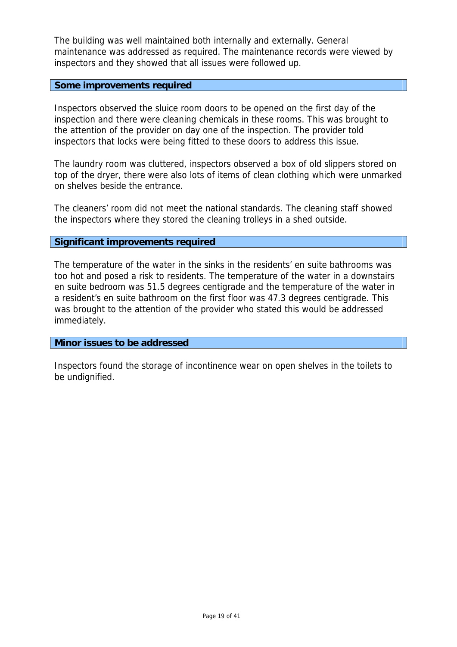The building was well maintained both internally and externally. General maintenance was addressed as required. The maintenance records were viewed by inspectors and they showed that all issues were followed up.

### **Some improvements required**

Inspectors observed the sluice room doors to be opened on the first day of the inspection and there were cleaning chemicals in these rooms. This was brought to the attention of the provider on day one of the inspection. The provider told inspectors that locks were being fitted to these doors to address this issue.

The laundry room was cluttered, inspectors observed a box of old slippers stored on top of the dryer, there were also lots of items of clean clothing which were unmarked on shelves beside the entrance.

The cleaners' room did not meet the national standards. The cleaning staff showed the inspectors where they stored the cleaning trolleys in a shed outside.

### **Significant improvements required**

The temperature of the water in the sinks in the residents' en suite bathrooms was too hot and posed a risk to residents. The temperature of the water in a downstairs en suite bedroom was 51.5 degrees centigrade and the temperature of the water in a resident's en suite bathroom on the first floor was 47.3 degrees centigrade. This was brought to the attention of the provider who stated this would be addressed immediately.

### **Minor issues to be addressed**

Inspectors found the storage of incontinence wear on open shelves in the toilets to be undignified.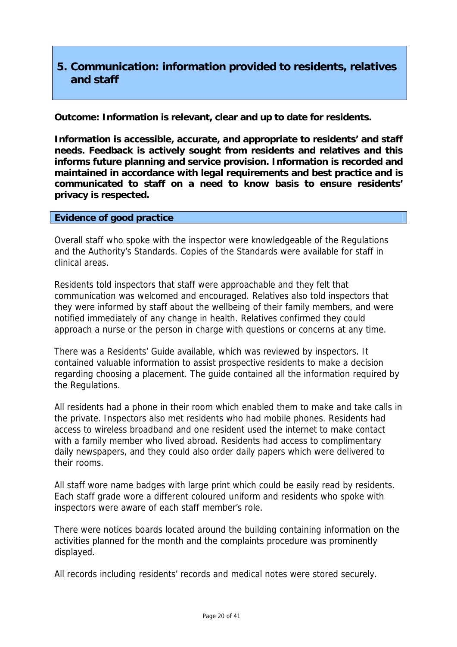# **5. Communication: information provided to residents, relatives and staff**

**Outcome: Information is relevant, clear and up to date for residents.** 

**Information is accessible, accurate, and appropriate to residents' and staff needs. Feedback is actively sought from residents and relatives and this informs future planning and service provision. Information is recorded and maintained in accordance with legal requirements and best practice and is communicated to staff on a need to know basis to ensure residents' privacy is respected.** 

### **Evidence of good practice**

Overall staff who spoke with the inspector were knowledgeable of the Regulations and the Authority's Standards. Copies of the Standards were available for staff in clinical areas.

Residents told inspectors that staff were approachable and they felt that communication was welcomed and encouraged. Relatives also told inspectors that they were informed by staff about the wellbeing of their family members, and were notified immediately of any change in health. Relatives confirmed they could approach a nurse or the person in charge with questions or concerns at any time.

There was a Residents' Guide available, which was reviewed by inspectors. It contained valuable information to assist prospective residents to make a decision regarding choosing a placement. The guide contained all the information required by the Regulations.

All residents had a phone in their room which enabled them to make and take calls in the private. Inspectors also met residents who had mobile phones. Residents had access to wireless broadband and one resident used the internet to make contact with a family member who lived abroad. Residents had access to complimentary daily newspapers, and they could also order daily papers which were delivered to their rooms.

All staff wore name badges with large print which could be easily read by residents. Each staff grade wore a different coloured uniform and residents who spoke with inspectors were aware of each staff member's role.

There were notices boards located around the building containing information on the activities planned for the month and the complaints procedure was prominently displayed.

All records including residents' records and medical notes were stored securely.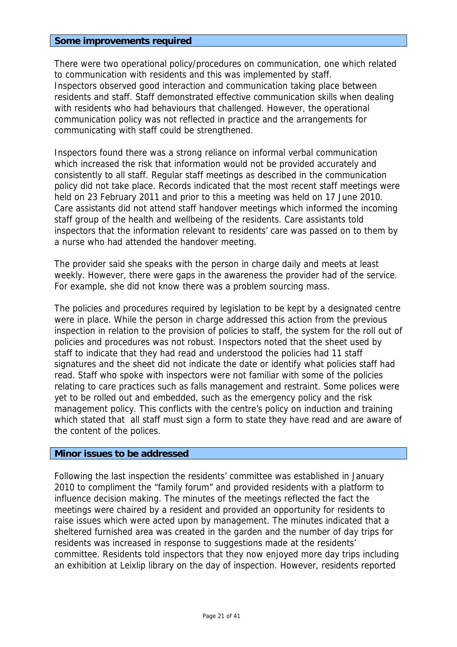### **Some improvements required**

There were two operational policy/procedures on communication, one which related to communication with residents and this was implemented by staff. Inspectors observed good interaction and communication taking place between residents and staff. Staff demonstrated effective communication skills when dealing with residents who had behaviours that challenged. However, the operational communication policy was not reflected in practice and the arrangements for communicating with staff could be strengthened.

Inspectors found there was a strong reliance on informal verbal communication which increased the risk that information would not be provided accurately and consistently to all staff. Regular staff meetings as described in the communication policy did not take place. Records indicated that the most recent staff meetings were held on 23 February 2011 and prior to this a meeting was held on 17 June 2010. Care assistants did not attend staff handover meetings which informed the incoming staff group of the health and wellbeing of the residents. Care assistants told inspectors that the information relevant to residents' care was passed on to them by a nurse who had attended the handover meeting.

The provider said she speaks with the person in charge daily and meets at least weekly. However, there were gaps in the awareness the provider had of the service. For example, she did not know there was a problem sourcing mass.

The policies and procedures required by legislation to be kept by a designated centre were in place. While the person in charge addressed this action from the previous inspection in relation to the provision of policies to staff, the system for the roll out of policies and procedures was not robust. Inspectors noted that the sheet used by staff to indicate that they had read and understood the policies had 11 staff signatures and the sheet did not indicate the date or identify what policies staff had read. Staff who spoke with inspectors were not familiar with some of the policies relating to care practices such as falls management and restraint. Some polices were yet to be rolled out and embedded, such as the emergency policy and the risk management policy. This conflicts with the centre's policy on induction and training which stated that all staff must sign a form to state they have read and are aware of the content of the polices.

### **Minor issues to be addressed**

Following the last inspection the residents' committee was established in January 2010 to compliment the "family forum" and provided residents with a platform to influence decision making. The minutes of the meetings reflected the fact the meetings were chaired by a resident and provided an opportunity for residents to raise issues which were acted upon by management. The minutes indicated that a sheltered furnished area was created in the garden and the number of day trips for residents was increased in response to suggestions made at the residents' committee. Residents told inspectors that they now enjoyed more day trips including an exhibition at Leixlip library on the day of inspection. However, residents reported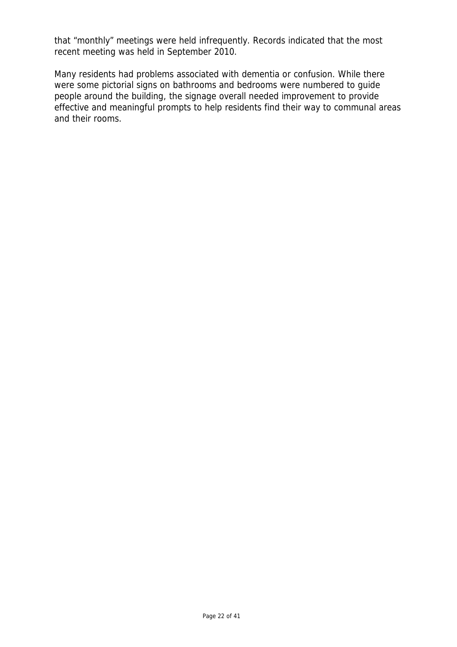that "monthly" meetings were held infrequently. Records indicated that the most recent meeting was held in September 2010.

Many residents had problems associated with dementia or confusion. While there were some pictorial signs on bathrooms and bedrooms were numbered to guide people around the building, the signage overall needed improvement to provide effective and meaningful prompts to help residents find their way to communal areas and their rooms.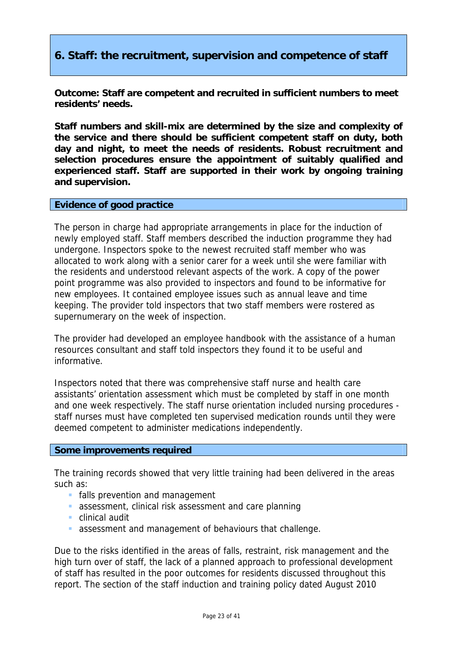# **6. Staff: the recruitment, supervision and competence of staff**

**Outcome: Staff are competent and recruited in sufficient numbers to meet residents' needs.** 

**Staff numbers and skill-mix are determined by the size and complexity of the service and there should be sufficient competent staff on duty, both day and night, to meet the needs of residents. Robust recruitment and selection procedures ensure the appointment of suitably qualified and experienced staff. Staff are supported in their work by ongoing training and supervision.** 

### **Evidence of good practice**

The person in charge had appropriate arrangements in place for the induction of newly employed staff. Staff members described the induction programme they had undergone. Inspectors spoke to the newest recruited staff member who was allocated to work along with a senior carer for a week until she were familiar with the residents and understood relevant aspects of the work. A copy of the power point programme was also provided to inspectors and found to be informative for new employees. It contained employee issues such as annual leave and time keeping. The provider told inspectors that two staff members were rostered as supernumerary on the week of inspection.

The provider had developed an employee handbook with the assistance of a human resources consultant and staff told inspectors they found it to be useful and informative.

Inspectors noted that there was comprehensive staff nurse and health care assistants' orientation assessment which must be completed by staff in one month and one week respectively. The staff nurse orientation included nursing procedures staff nurses must have completed ten supervised medication rounds until they were deemed competent to administer medications independently.

### **Some improvements required**

The training records showed that very little training had been delivered in the areas such as:

- **falls prevention and management**
- assessment, clinical risk assessment and care planning
- clinical audit
- assessment and management of behaviours that challenge.

Due to the risks identified in the areas of falls, restraint, risk management and the high turn over of staff, the lack of a planned approach to professional development of staff has resulted in the poor outcomes for residents discussed throughout this report. The section of the staff induction and training policy dated August 2010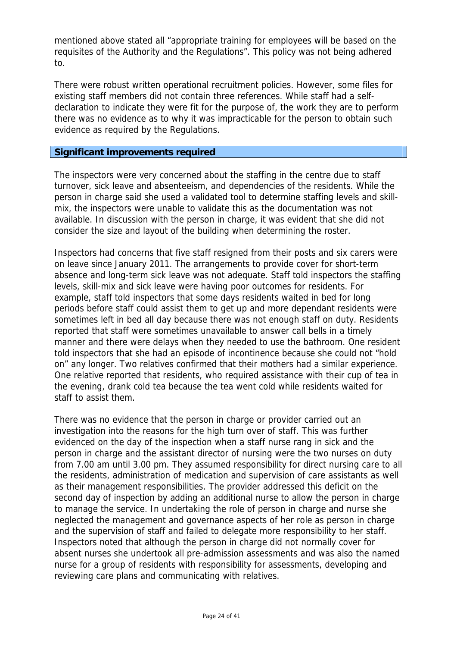mentioned above stated all "appropriate training for employees will be based on the requisites of the Authority and the Regulations". This policy was not being adhered to.

There were robust written operational recruitment policies. However, some files for existing staff members did not contain three references. While staff had a selfdeclaration to indicate they were fit for the purpose of, the work they are to perform there was no evidence as to why it was impracticable for the person to obtain such evidence as required by the Regulations.

### **Significant improvements required**

The inspectors were very concerned about the staffing in the centre due to staff turnover, sick leave and absenteeism, and dependencies of the residents. While the person in charge said she used a validated tool to determine staffing levels and skillmix, the inspectors were unable to validate this as the documentation was not available. In discussion with the person in charge, it was evident that she did not consider the size and layout of the building when determining the roster.

Inspectors had concerns that five staff resigned from their posts and six carers were on leave since January 2011. The arrangements to provide cover for short-term absence and long-term sick leave was not adequate. Staff told inspectors the staffing levels, skill-mix and sick leave were having poor outcomes for residents. For example, staff told inspectors that some days residents waited in bed for long periods before staff could assist them to get up and more dependant residents were sometimes left in bed all day because there was not enough staff on duty. Residents reported that staff were sometimes unavailable to answer call bells in a timely manner and there were delays when they needed to use the bathroom. One resident told inspectors that she had an episode of incontinence because she could not "hold on" any longer. Two relatives confirmed that their mothers had a similar experience. One relative reported that residents, who required assistance with their cup of tea in the evening, drank cold tea because the tea went cold while residents waited for staff to assist them.

There was no evidence that the person in charge or provider carried out an investigation into the reasons for the high turn over of staff. This was further evidenced on the day of the inspection when a staff nurse rang in sick and the person in charge and the assistant director of nursing were the two nurses on duty from 7.00 am until 3.00 pm. They assumed responsibility for direct nursing care to all the residents, administration of medication and supervision of care assistants as well as their management responsibilities. The provider addressed this deficit on the second day of inspection by adding an additional nurse to allow the person in charge to manage the service. In undertaking the role of person in charge and nurse she neglected the management and governance aspects of her role as person in charge and the supervision of staff and failed to delegate more responsibility to her staff. Inspectors noted that although the person in charge did not normally cover for absent nurses she undertook all pre-admission assessments and was also the named nurse for a group of residents with responsibility for assessments, developing and reviewing care plans and communicating with relatives.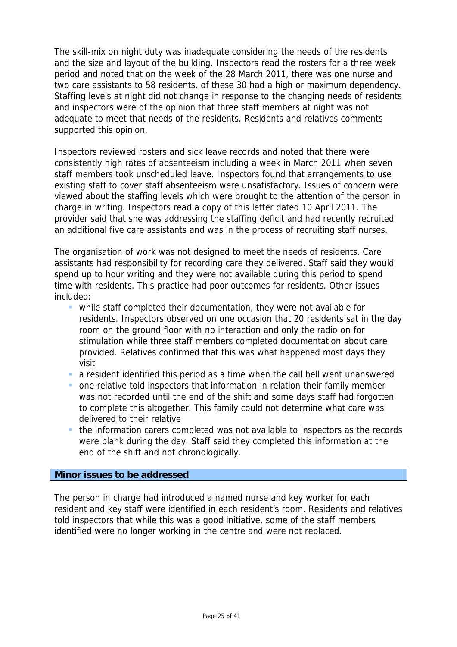The skill-mix on night duty was inadequate considering the needs of the residents and the size and layout of the building. Inspectors read the rosters for a three week period and noted that on the week of the 28 March 2011, there was one nurse and two care assistants to 58 residents, of these 30 had a high or maximum dependency. Staffing levels at night did not change in response to the changing needs of residents and inspectors were of the opinion that three staff members at night was not adequate to meet that needs of the residents. Residents and relatives comments supported this opinion.

Inspectors reviewed rosters and sick leave records and noted that there were consistently high rates of absenteeism including a week in March 2011 when seven staff members took unscheduled leave. Inspectors found that arrangements to use existing staff to cover staff absenteeism were unsatisfactory. Issues of concern were viewed about the staffing levels which were brought to the attention of the person in charge in writing. Inspectors read a copy of this letter dated 10 April 2011. The provider said that she was addressing the staffing deficit and had recently recruited an additional five care assistants and was in the process of recruiting staff nurses.

The organisation of work was not designed to meet the needs of residents. Care assistants had responsibility for recording care they delivered. Staff said they would spend up to hour writing and they were not available during this period to spend time with residents. This practice had poor outcomes for residents. Other issues included:

- while staff completed their documentation, they were not available for residents. Inspectors observed on one occasion that 20 residents sat in the day room on the ground floor with no interaction and only the radio on for stimulation while three staff members completed documentation about care provided. Relatives confirmed that this was what happened most days they visit
- a resident identified this period as a time when the call bell went unanswered
- one relative told inspectors that information in relation their family member was not recorded until the end of the shift and some days staff had forgotten to complete this altogether. This family could not determine what care was delivered to their relative
- the information carers completed was not available to inspectors as the records were blank during the day. Staff said they completed this information at the end of the shift and not chronologically.

### **Minor issues to be addressed**

The person in charge had introduced a named nurse and key worker for each resident and key staff were identified in each resident's room. Residents and relatives told inspectors that while this was a good initiative, some of the staff members identified were no longer working in the centre and were not replaced.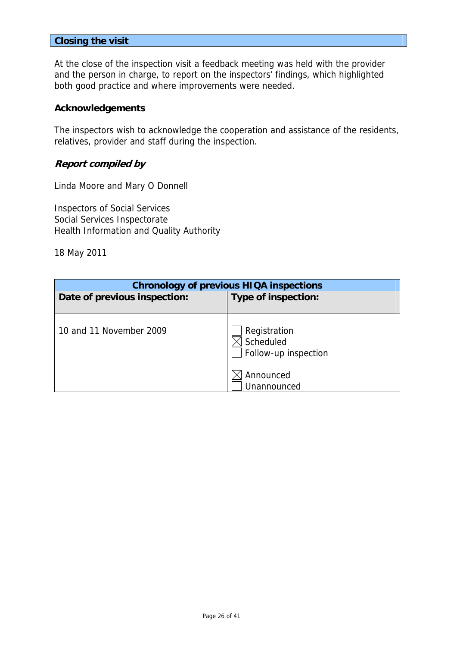### **Closing the visit**

At the close of the inspection visit a feedback meeting was held with the provider and the person in charge, to report on the inspectors' findings, which highlighted both good practice and where improvements were needed.

### **Acknowledgements**

The inspectors wish to acknowledge the cooperation and assistance of the residents, relatives, provider and staff during the inspection.

### **Report compiled by**

Linda Moore and Mary O Donnell

Inspectors of Social Services Social Services Inspectorate Health Information and Quality Authority

18 May 2011

| <b>Chronology of previous HIQA inspections</b> |                                                                |  |  |
|------------------------------------------------|----------------------------------------------------------------|--|--|
| Date of previous inspection:                   | Type of inspection:                                            |  |  |
| 10 and 11 November 2009                        | Registration<br>Scheduled<br>Follow-up inspection<br>Announced |  |  |
|                                                | Unannounced                                                    |  |  |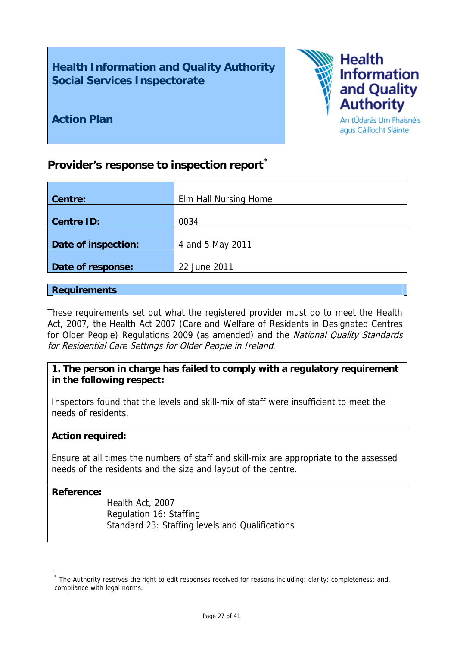# **Health Information and Quality Authority Social Services Inspectorate**



**Action Plan** 

#### An tÚdarás Um Fhaisnéis agus Cáilíocht Sláinte

# **Provider's response to inspection report[\\*](#page-26-0)**

| Elm Hall Nursing Home |
|-----------------------|
|                       |
| 0034                  |
|                       |
| 4 and 5 May 2011      |
|                       |
| 22 June 2011          |
|                       |

### **Requirements**

These requirements set out what the registered provider must do to meet the Health Act, 2007, the Health Act 2007 (Care and Welfare of Residents in Designated Centres for Older People) Regulations 2009 (as amended) and the National Quality Standards for Residential Care Settings for Older People in Ireland.

## **1. The person in charge has failed to comply with a regulatory requirement in the following respect:**

Inspectors found that the levels and skill-mix of staff were insufficient to meet the needs of residents.

### **Action required:**

Ensure at all times the numbers of staff and skill-mix are appropriate to the assessed needs of the residents and the size and layout of the centre.

### **Reference:**

1

Health Act, 2007 Regulation 16: Staffing Standard 23: Staffing levels and Qualifications

<span id="page-26-0"></span><sup>\*</sup> The Authority reserves the right to edit responses received for reasons including: clarity; completeness; and, compliance with legal norms.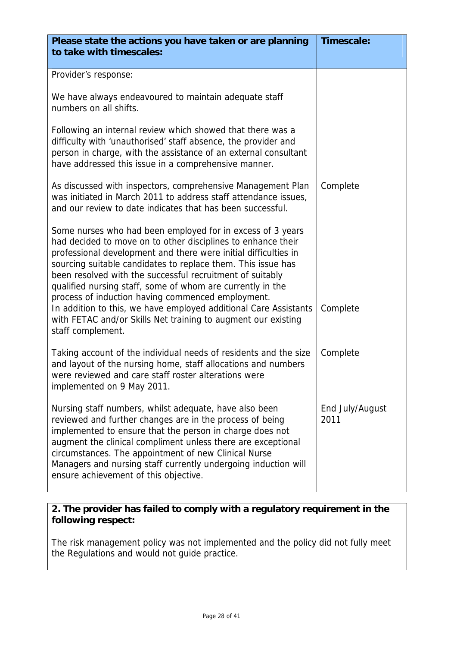| Please state the actions you have taken or are planning<br>to take with timescales:                                                                                                                                                                                                                                                                                                                                                                                                                                                                                                                     | Timescale:              |
|---------------------------------------------------------------------------------------------------------------------------------------------------------------------------------------------------------------------------------------------------------------------------------------------------------------------------------------------------------------------------------------------------------------------------------------------------------------------------------------------------------------------------------------------------------------------------------------------------------|-------------------------|
| Provider's response:                                                                                                                                                                                                                                                                                                                                                                                                                                                                                                                                                                                    |                         |
| We have always endeavoured to maintain adequate staff<br>numbers on all shifts.                                                                                                                                                                                                                                                                                                                                                                                                                                                                                                                         |                         |
| Following an internal review which showed that there was a<br>difficulty with 'unauthorised' staff absence, the provider and<br>person in charge, with the assistance of an external consultant<br>have addressed this issue in a comprehensive manner.                                                                                                                                                                                                                                                                                                                                                 |                         |
| As discussed with inspectors, comprehensive Management Plan<br>was initiated in March 2011 to address staff attendance issues,<br>and our review to date indicates that has been successful.                                                                                                                                                                                                                                                                                                                                                                                                            | Complete                |
| Some nurses who had been employed for in excess of 3 years<br>had decided to move on to other disciplines to enhance their<br>professional development and there were initial difficulties in<br>sourcing suitable candidates to replace them. This issue has<br>been resolved with the successful recruitment of suitably<br>qualified nursing staff, some of whom are currently in the<br>process of induction having commenced employment.<br>In addition to this, we have employed additional Care Assistants<br>with FETAC and/or Skills Net training to augment our existing<br>staff complement. | Complete                |
| Taking account of the individual needs of residents and the size<br>and layout of the nursing home, staff allocations and numbers<br>were reviewed and care staff roster alterations were<br>implemented on 9 May 2011.                                                                                                                                                                                                                                                                                                                                                                                 | Complete                |
| Nursing staff numbers, whilst adequate, have also been<br>reviewed and further changes are in the process of being<br>implemented to ensure that the person in charge does not<br>augment the clinical compliment unless there are exceptional<br>circumstances. The appointment of new Clinical Nurse<br>Managers and nursing staff currently undergoing induction will<br>ensure achievement of this objective.                                                                                                                                                                                       | End July/August<br>2011 |

The risk management policy was not implemented and the policy did not fully meet the Regulations and would not guide practice.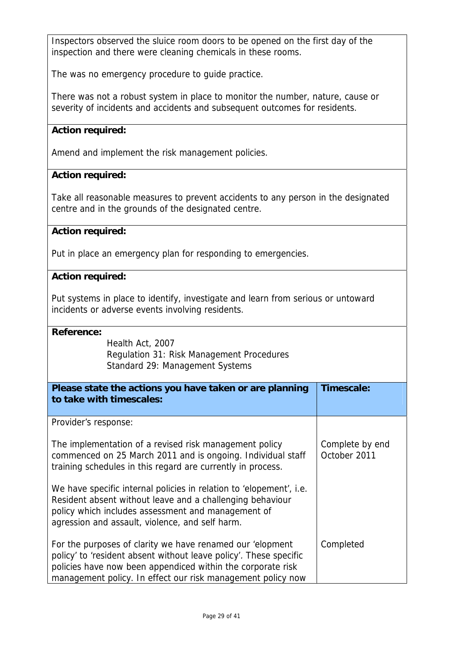Inspectors observed the sluice room doors to be opened on the first day of the inspection and there were cleaning chemicals in these rooms.

he was no emergency procedure to guide practice. T

There was not a robust system in place to monitor the number, nature, cause or severity of incidents and accidents and subsequent outcomes for residents.

# **Action required:**

Amend and implement the risk management policies.

### **Action required:**

Take all reasonable measures to prevent accidents to any person in the designated centre and in the grounds of the designated centre.

### **Action required:**

Put in place an emergency plan for responding to emergencies.

### **Action required:**

Put systems in place to identify, investigate and learn from serious or untoward incidents or adverse events involving residents.

### **Reference:**

Regulation 31: Risk Management Procedures Standard 29: Management Systems Health Act, 2007

| Please state the actions you have taken or are planning<br>to take with timescales:                                                                                                                                                                          | Timescale:                      |
|--------------------------------------------------------------------------------------------------------------------------------------------------------------------------------------------------------------------------------------------------------------|---------------------------------|
| Provider's response:                                                                                                                                                                                                                                         |                                 |
| The implementation of a revised risk management policy<br>commenced on 25 March 2011 and is ongoing. Individual staff<br>training schedules in this regard are currently in process.                                                                         | Complete by end<br>October 2011 |
| We have specific internal policies in relation to 'elopement', i.e.<br>Resident absent without leave and a challenging behaviour<br>policy which includes assessment and management of<br>agression and assault, violence, and self harm.                    |                                 |
| For the purposes of clarity we have renamed our 'elopment<br>policy' to 'resident absent without leave policy'. These specific<br>policies have now been appendiced within the corporate risk<br>management policy. In effect our risk management policy now | Completed                       |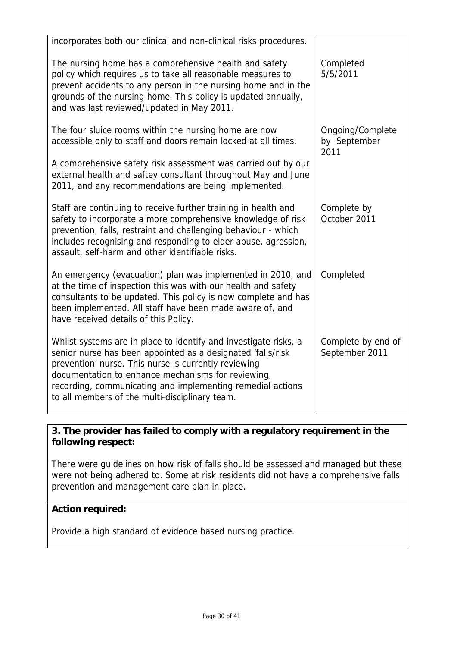| incorporates both our clinical and non-clinical risks procedures.                                                                                                                                                                                                                                                                                             |                                          |
|---------------------------------------------------------------------------------------------------------------------------------------------------------------------------------------------------------------------------------------------------------------------------------------------------------------------------------------------------------------|------------------------------------------|
| The nursing home has a comprehensive health and safety<br>policy which requires us to take all reasonable measures to<br>prevent accidents to any person in the nursing home and in the<br>grounds of the nursing home. This policy is updated annually,<br>and was last reviewed/updated in May 2011.                                                        | Completed<br>5/5/2011                    |
| The four sluice rooms within the nursing home are now<br>accessible only to staff and doors remain locked at all times.                                                                                                                                                                                                                                       | Ongoing/Complete<br>by September<br>2011 |
| A comprehensive safety risk assessment was carried out by our<br>external health and saftey consultant throughout May and June<br>2011, and any recommendations are being implemented.                                                                                                                                                                        |                                          |
| Staff are continuing to receive further training in health and<br>safety to incorporate a more comprehensive knowledge of risk<br>prevention, falls, restraint and challenging behaviour - which<br>includes recognising and responding to elder abuse, agression,<br>assault, self-harm and other identifiable risks.                                        | Complete by<br>October 2011              |
| An emergency (evacuation) plan was implemented in 2010, and<br>at the time of inspection this was with our health and safety<br>consultants to be updated. This policy is now complete and has<br>been implemented. All staff have been made aware of, and<br>have received details of this Policy.                                                           | Completed                                |
| Whilst systems are in place to identify and investigate risks, a<br>senior nurse has been appointed as a designated 'falls/risk<br>prevention' nurse. This nurse is currently reviewing<br>documentation to enhance mechanisms for reviewing,<br>recording, communicating and implementing remedial actions<br>to all members of the multi-disciplinary team. | Complete by end of<br>September 2011     |

were not being adhered to. Some at risk residents did not have a comprehensive falls prevention and management care plan in place. There were guidelines on how risk of falls should be assessed and managed but these

# **Action required:**

Provide a high standard of evidence based nursing practice.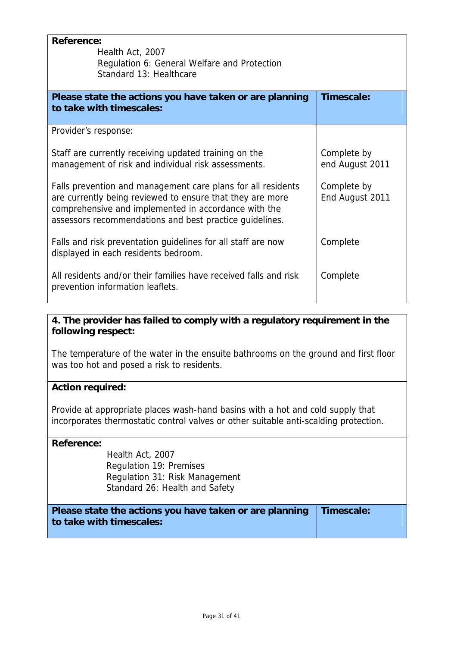| <b>Reference:</b>                                                |                 |
|------------------------------------------------------------------|-----------------|
| Health Act, 2007                                                 |                 |
| Regulation 6: General Welfare and Protection                     |                 |
| Standard 13: Healthcare                                          |                 |
|                                                                  |                 |
| Please state the actions you have taken or are planning          | Timescale:      |
| to take with timescales:                                         |                 |
|                                                                  |                 |
| Provider's response:                                             |                 |
| Staff are currently receiving updated training on the            | Complete by     |
| management of risk and individual risk assessments.              | end August 2011 |
|                                                                  |                 |
| Falls prevention and management care plans for all residents     | Complete by     |
| are currently being reviewed to ensure that they are more        | End August 2011 |
|                                                                  |                 |
| comprehensive and implemented in accordance with the             |                 |
| assessors recommendations and best practice guidelines.          |                 |
|                                                                  |                 |
| Falls and risk preventation guidelines for all staff are now     | Complete        |
| displayed in each residents bedroom.                             |                 |
| All residents and/or their families have received falls and risk |                 |
|                                                                  | Complete        |
| prevention information leaflets.                                 |                 |
|                                                                  |                 |

The temperature of the water in the ensuite bathrooms on the ground and first floor was too hot and posed a risk to residents.

# **Action required:**

incorporates thermostatic control valves or other suitable anti-scalding protection. Provide at appropriate places wash-hand basins with a hot and cold supply that

# **Reference:**

 Standard 26: Health and Safety Health Act, 2007 Regulation 19: Premises Regulation 31: Risk Management

**Please state the actions you have taken or are planning t o take with timescales: Timescale:**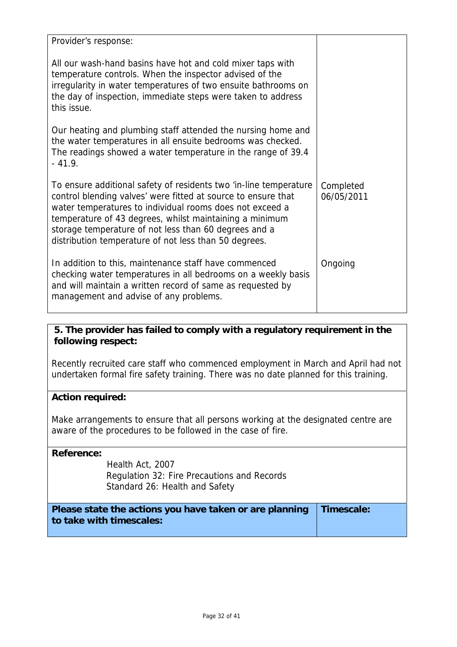| Provider's response:                                                                                                                                                                                                                                                                                                                                                        |                         |
|-----------------------------------------------------------------------------------------------------------------------------------------------------------------------------------------------------------------------------------------------------------------------------------------------------------------------------------------------------------------------------|-------------------------|
| All our wash-hand basins have hot and cold mixer taps with<br>temperature controls. When the inspector advised of the<br>irregularity in water temperatures of two ensuite bathrooms on<br>the day of inspection, immediate steps were taken to address<br>this issue.                                                                                                      |                         |
| Our heating and plumbing staff attended the nursing home and<br>the water temperatures in all ensuite bedrooms was checked.<br>The readings showed a water temperature in the range of 39.4<br>$-41.9.$                                                                                                                                                                     |                         |
| To ensure additional safety of residents two 'in-line temperature<br>control blending valves' were fitted at source to ensure that<br>water temperatures to individual rooms does not exceed a<br>temperature of 43 degrees, whilst maintaining a minimum<br>storage temperature of not less than 60 degrees and a<br>distribution temperature of not less than 50 degrees. | Completed<br>06/05/2011 |
| In addition to this, maintenance staff have commenced<br>checking water temperatures in all bedrooms on a weekly basis<br>and will maintain a written record of same as requested by<br>management and advise of any problems.                                                                                                                                              | Ongoing                 |

Recently recruited care staff who commenced employment in March and April had not undertaken formal fire safety training. There was no date planned for this training.

# **Action required:**

Make arrangements to ensure that all persons working at the designated centre are aware of the procedures to be followed in the case of fire.

## **Reference:**

Regulation 32: Fire Precautions and Records Standard 26: Health and Safety Health Act, 2007

| Please state the actions you have taken or are planning Timescale: |  |
|--------------------------------------------------------------------|--|
| to take with timescales:                                           |  |
|                                                                    |  |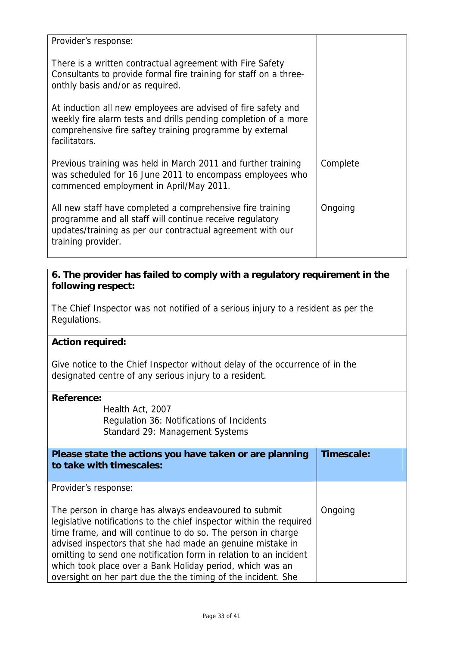| Provider's response:                                                                                                                                                                                          |          |
|---------------------------------------------------------------------------------------------------------------------------------------------------------------------------------------------------------------|----------|
| There is a written contractual agreement with Fire Safety<br>Consultants to provide formal fire training for staff on a three-<br>onthly basis and/or as required.                                            |          |
| At induction all new employees are advised of fire safety and<br>weekly fire alarm tests and drills pending completion of a more<br>comprehensive fire saftey training programme by external<br>facilitators. |          |
| Previous training was held in March 2011 and further training<br>was scheduled for 16 June 2011 to encompass employees who<br>commenced employment in April/May 2011.                                         | Complete |
| All new staff have completed a comprehensive fire training<br>programme and all staff will continue receive regulatory<br>updates/training as per our contractual agreement with our<br>training provider.    | Ongoing  |

The Chief Inspector was not notified of a serious injury to a resident as per the Regulations.

# **Action required:**

Give notice to the Chief Inspector without delay of the occurrence of in the designated centre of any serious injury to a resident.

| <b>Reference:</b>                                                    |            |
|----------------------------------------------------------------------|------------|
| Health Act, 2007                                                     |            |
| Regulation 36: Notifications of Incidents                            |            |
| Standard 29: Management Systems                                      |            |
|                                                                      |            |
| Please state the actions you have taken or are planning              | Timescale: |
| to take with timescales:                                             |            |
|                                                                      |            |
| Provider's response:                                                 |            |
|                                                                      |            |
| The person in charge has always endeavoured to submit                | Ongoing    |
| legislative notifications to the chief inspector within the required |            |
| time frame, and will continue to do so. The person in charge         |            |
| advised inspectors that she had made an genuine mistake in           |            |
| omitting to send one notification form in relation to an incident    |            |
| which took place over a Bank Holiday period, which was an            |            |
| oversight on her part due the the timing of the incident. She        |            |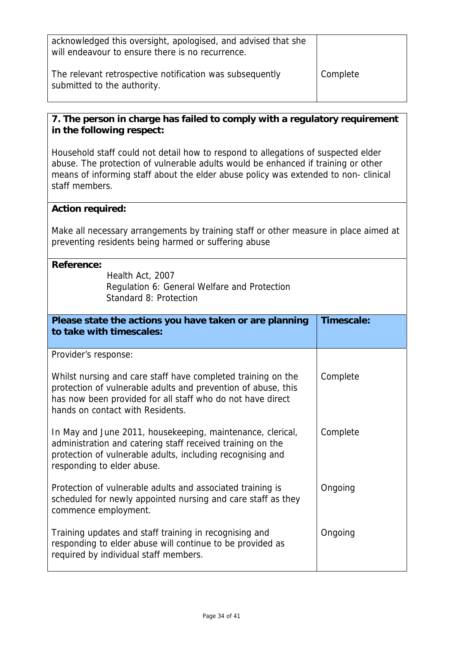| acknowledged this oversight, apologised, and advised that she<br>will endeavour to ensure there is no recurrence. |          |
|-------------------------------------------------------------------------------------------------------------------|----------|
| The relevant retrospective notification was subsequently<br>submitted to the authority.                           | Complete |

means of informing staff about the elder abuse policy was extended to non- clinical staff members. Household staff could not detail how to respond to allegations of suspected elder abuse. The protection of vulnerable adults would be enhanced if training or other

### **Action required:**

Make all necessary arrangements by training staff or other measure in place aimed at preventing residents being harmed or suffering abuse

| <b>Reference:</b><br>Health Act, 2007<br>Regulation 6: General Welfare and Protection<br>Standard 8: Protection                                                                                                                 |            |
|---------------------------------------------------------------------------------------------------------------------------------------------------------------------------------------------------------------------------------|------------|
| Please state the actions you have taken or are planning<br>to take with timescales:                                                                                                                                             | Timescale: |
| Provider's response:                                                                                                                                                                                                            |            |
| Whilst nursing and care staff have completed training on the<br>protection of vulnerable adults and prevention of abuse, this<br>has now been provided for all staff who do not have direct<br>hands on contact with Residents. | Complete   |
| In May and June 2011, housekeeping, maintenance, clerical,<br>administration and catering staff received training on the<br>protection of vulnerable adults, including recognising and<br>responding to elder abuse.            | Complete   |
| Protection of vulnerable adults and associated training is<br>scheduled for newly appointed nursing and care staff as they<br>commence employment.                                                                              | Ongoing    |
| Training updates and staff training in recognising and<br>responding to elder abuse will continue to be provided as<br>required by individual staff members.                                                                    | Ongoing    |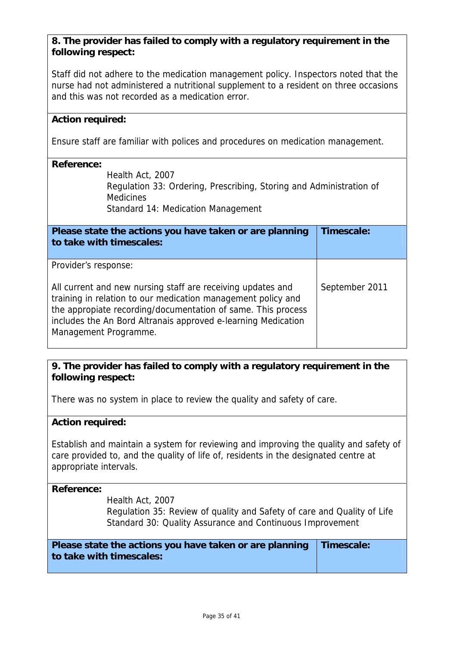nurse had not administered a nutritional supplement to a resident on three occasions and this was not recorded as a medication error. Staff did not adhere to the medication management policy. Inspectors noted that the

### **Action required:**

Ensure staff are familiar with polices and procedures on medication management.

### **Reference:**

Regulation 33: Ordering, Prescribing, Storing and Administration of Standard 14: Medication Management Health Act, 2007 **Medicines** 

**Please state the actions you have taken or are planning to take with timescales: Timescale:**  Provider's response: includes the An Bord Altranais approved e-learning Medication Management Programme. All current and new nursing staff are receiving updates and September 2011 training in relation to our medication management policy and the appropiate recording/documentation of same. This process

## **9. The provider has failed to comply with a regulatory requirement in the**  following respect:

There was no system in place to review the quality and safety of care.

### **Action required:**

Establish and maintain a system for reviewing and improving the quality and safety of care provided to, and the quality of life of, residents in the designated centre at appropriate intervals.

### **Reference:**

Health Act, 2007

Regulation 35: Review of quality and Safety of care and Quality of Life Standard 30: Quality Assurance and Continuous Improvement

| Please state the actions you have taken or are planning Timescale: |  |
|--------------------------------------------------------------------|--|
| to take with timescales:                                           |  |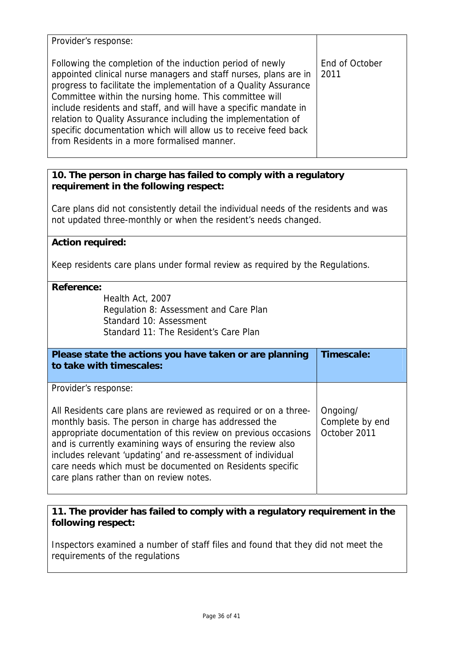| Provider's response:                                                                                                                                                                                                                                                                                                                                                                                                                                                                                               |                        |
|--------------------------------------------------------------------------------------------------------------------------------------------------------------------------------------------------------------------------------------------------------------------------------------------------------------------------------------------------------------------------------------------------------------------------------------------------------------------------------------------------------------------|------------------------|
| Following the completion of the induction period of newly<br>appointed clinical nurse managers and staff nurses, plans are in<br>progress to facilitate the implementation of a Quality Assurance<br>Committee within the nursing home. This committee will<br>include residents and staff, and will have a specific mandate in<br>relation to Quality Assurance including the implementation of<br>specific documentation which will allow us to receive feed back<br>from Residents in a more formalised manner. | End of October<br>2011 |

Care plans did not consistently detail the individual needs of the residents and was not updated three-monthly or when the resident's needs changed.

## **Action required:**

Keep residents care plans under formal review as required by the Regulations.

### **Reference:**

 Health Act, 2007 Regulation 8: Assessment and Care Plan Standard 11: The Resident's Care Plan Standard 10: Assessment

| Please state the actions you have taken or are planning<br>to take with timescales:                                                                                                                                                                                                                                                                                                                                                | Timescale:                                  |
|------------------------------------------------------------------------------------------------------------------------------------------------------------------------------------------------------------------------------------------------------------------------------------------------------------------------------------------------------------------------------------------------------------------------------------|---------------------------------------------|
| Provider's response:                                                                                                                                                                                                                                                                                                                                                                                                               |                                             |
| All Residents care plans are reviewed as required or on a three-<br>monthly basis. The person in charge has addressed the<br>appropriate documentation of this review on previous occasions<br>and is currently examining ways of ensuring the review also<br>includes relevant 'updating' and re-assessment of individual<br>care needs which must be documented on Residents specific<br>care plans rather than on review notes. | Ongoing/<br>Complete by end<br>October 2011 |

# **11. The provider has failed to comply with a regulatory requirement in the**  following respect:

Inspectors examined a number of staff files and found that they did not meet the requirements of the regulations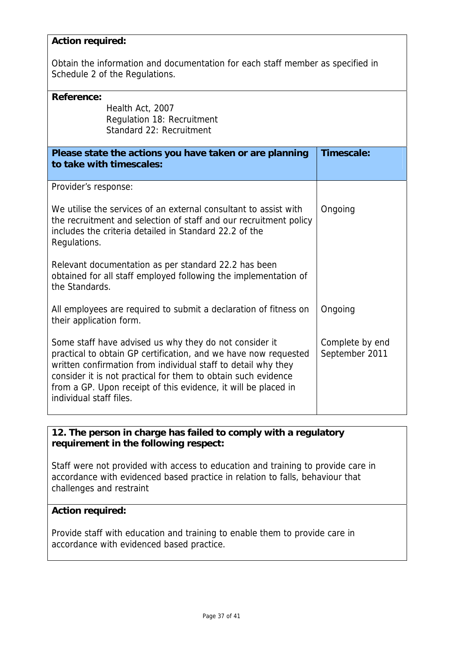### **Action required:**

Obtain the information and documentation for each staff member as specified in Schedule 2 of the Regulations.

| Reference:<br>Health Act, 2007<br>Regulation 18: Recruitment<br>Standard 22: Recruitment                                                                                                                                                                                                                                                                 |                                   |
|----------------------------------------------------------------------------------------------------------------------------------------------------------------------------------------------------------------------------------------------------------------------------------------------------------------------------------------------------------|-----------------------------------|
| Please state the actions you have taken or are planning<br>to take with timescales:                                                                                                                                                                                                                                                                      | Timescale:                        |
| Provider's response:                                                                                                                                                                                                                                                                                                                                     |                                   |
| We utilise the services of an external consultant to assist with<br>the recruitment and selection of staff and our recruitment policy<br>includes the criteria detailed in Standard 22.2 of the<br>Regulations.                                                                                                                                          | Ongoing                           |
| Relevant documentation as per standard 22.2 has been<br>obtained for all staff employed following the implementation of<br>the Standards.                                                                                                                                                                                                                |                                   |
| All employees are required to submit a declaration of fitness on<br>their application form.                                                                                                                                                                                                                                                              | Ongoing                           |
| Some staff have advised us why they do not consider it<br>practical to obtain GP certification, and we have now requested<br>written confirmation from individual staff to detail why they<br>consider it is not practical for them to obtain such evidence<br>from a GP. Upon receipt of this evidence, it will be placed in<br>individual staff files. | Complete by end<br>September 2011 |

# **12. The person in charge has failed to comply with a regulatory requirement in the following respect:**

Staff were not provided with access to education and training to provide care in accordance with evidenced based practice in relation to falls, behaviour that challenges and restraint

### **Action required:**

Provide staff with education and training to enable them to provide care in accordance with evidenced based practice.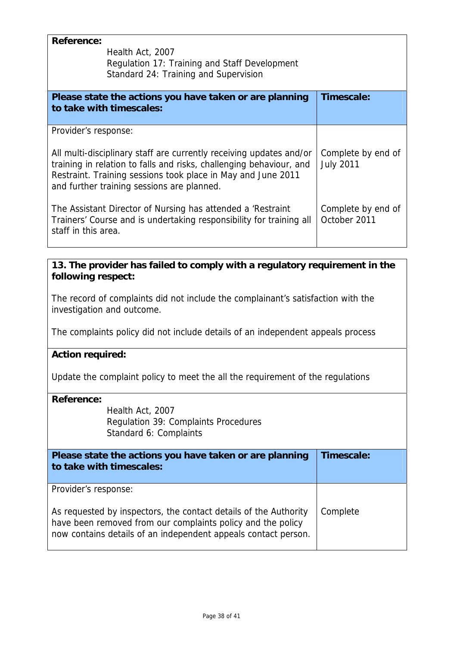| <b>Reference:</b><br>Health Act, 2007<br>Regulation 17: Training and Staff Development<br>Standard 24: Training and Supervision |  |
|---------------------------------------------------------------------------------------------------------------------------------|--|
| Timescale:                                                                                                                      |  |
|                                                                                                                                 |  |
| Complete by end of<br><b>July 2011</b>                                                                                          |  |
| Complete by end of<br>October 2011                                                                                              |  |
|                                                                                                                                 |  |
| 13. The provider has failed to comply with a regulatory requirement in the<br>following respect:                                |  |
| The record of complaints did not include the complainant's satisfaction with the<br>investigation and outcome.                  |  |
| The complaints policy did not include details of an independent appeals process                                                 |  |
| <b>Action required:</b>                                                                                                         |  |
| Update the complaint policy to meet the all the requirement of the regulations                                                  |  |
|                                                                                                                                 |  |
| Health Act, 2007<br>Regulation 39: Complaints Procedures<br>Standard 6: Complaints                                              |  |
| Timescale:                                                                                                                      |  |
|                                                                                                                                 |  |
| Complete                                                                                                                        |  |
|                                                                                                                                 |  |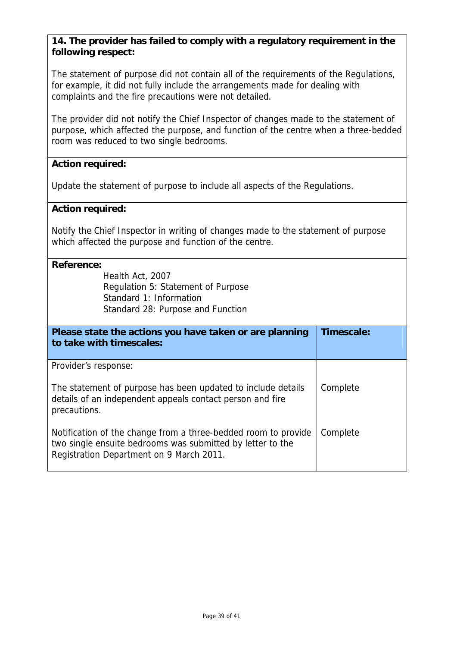The statement of purpose did not contain all of the requirements of the Regulations, for example, it did not fully include the arrangements made for dealing with complaints and the fire precautions were not detailed.

purpose, which affected the purpose, and function of the centre when a three-bedded room was reduced to two single bedrooms. The provider did not notify the Chief Inspector of changes made to the statement of

### **Action required:**

Update the statement of purpose to include all aspects of the Regulations.

### **Action required:**

Notify the Chief Inspector in writing of changes made to the statement of purpose which affected the purpose and function of the centre.

| <b>Reference:</b><br>Health Act, 2007<br>Regulation 5: Statement of Purpose<br>Standard 1: Information<br>Standard 28: Purpose and Function                              |            |
|--------------------------------------------------------------------------------------------------------------------------------------------------------------------------|------------|
| Please state the actions you have taken or are planning<br>to take with timescales:                                                                                      | Timescale: |
| Provider's response:                                                                                                                                                     |            |
| The statement of purpose has been updated to include details<br>details of an independent appeals contact person and fire<br>precautions.                                | Complete   |
| Notification of the change from a three-bedded room to provide<br>two single ensuite bedrooms was submitted by letter to the<br>Registration Department on 9 March 2011. | Complete   |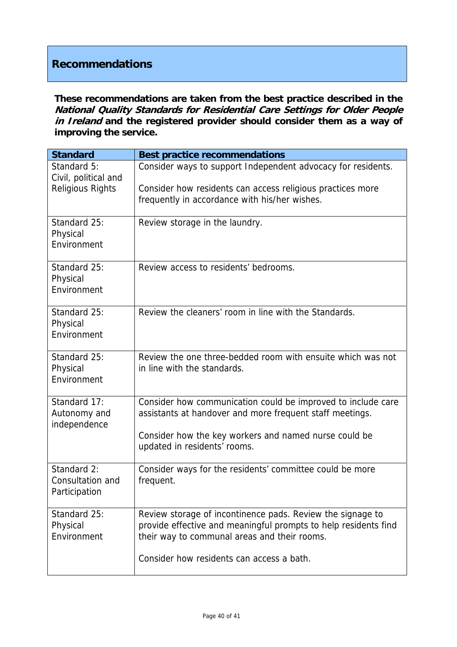# **Recommendations**

**hese recommendations are taken from the best practice described in the T National Quality Standards for Residential Care Settings for Older People**  in Ireland and the registered provider should consider them as a way of **improving the service.**

| <b>Standard</b>                              | <b>Best practice recommendations</b>                                                                                          |
|----------------------------------------------|-------------------------------------------------------------------------------------------------------------------------------|
| Standard 5:<br>Civil, political and          | Consider ways to support Independent advocacy for residents.                                                                  |
| <b>Religious Rights</b>                      | Consider how residents can access religious practices more                                                                    |
|                                              | frequently in accordance with his/her wishes.                                                                                 |
| Standard 25:<br>Physical                     | Review storage in the laundry.                                                                                                |
| Environment                                  |                                                                                                                               |
| Standard 25:                                 | Review access to residents' bedrooms.                                                                                         |
| Physical<br>Environment                      |                                                                                                                               |
|                                              |                                                                                                                               |
| Standard 25:<br>Physical                     | Review the cleaners' room in line with the Standards.                                                                         |
| Environment                                  |                                                                                                                               |
| Standard 25:                                 | Review the one three-bedded room with ensuite which was not                                                                   |
| Physical<br>Environment                      | in line with the standards.                                                                                                   |
|                                              |                                                                                                                               |
| Standard 17:<br>Autonomy and<br>independence | Consider how communication could be improved to include care<br>assistants at handover and more frequent staff meetings.      |
|                                              | Consider how the key workers and named nurse could be                                                                         |
|                                              | updated in residents' rooms.                                                                                                  |
| Standard 2:<br>Consultation and              | Consider ways for the residents' committee could be more                                                                      |
| Participation                                | frequent.                                                                                                                     |
| Standard 25:                                 |                                                                                                                               |
| Physical                                     | Review storage of incontinence pads. Review the signage to<br>provide effective and meaningful prompts to help residents find |
| Environment                                  | their way to communal areas and their rooms.                                                                                  |
|                                              | Consider how residents can access a bath.                                                                                     |